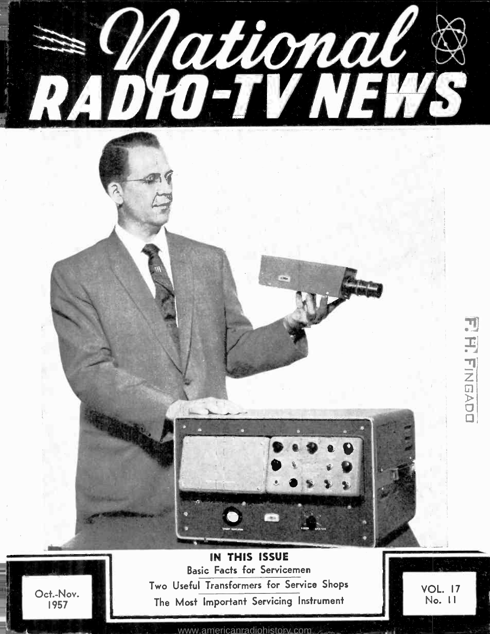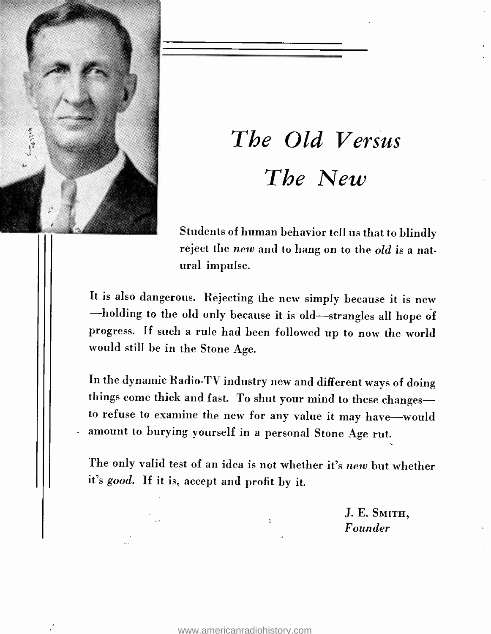

# The Old Versus The New

Students of human behavior tell us that to blindly reject the new and to hang on to the old is a natural impulse.

It is also dangerous. Rejecting the new simply because it is new -holding to the old only because it is old-strangles all hope of progress. If such a rule had been followed up to now the world would still be in the Stone Age.

In the dynamic Radio -TV industry new and different ways of doing things come thick and fast. To shut your mind to these changesto refuse to examine the new for any value it may have--would amount to burying yourself in a personal Stone Age rut.

The only valid test of an idea is not whether it's new but whether it's good. If it is, accept and profit by it.

> J. E. SMITH, Founder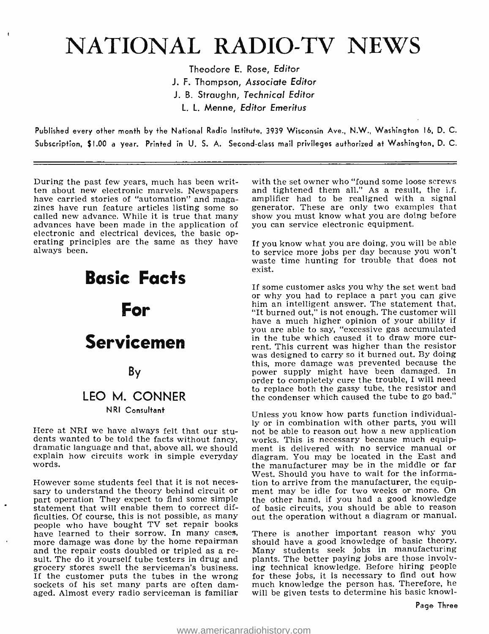## NATIONAL RADIO-TV NEWS

Theodore E. Rose, Editor J. F. Thompson, Associate Editor J. B. Straughn, Technical Editor L. L. Menne, Editor Emeritus

Published every other month by the National Radio Institute, 3939 Wisconsin Ave., N.W., Washington I6, D. C. Subscription, \$1.00 a year. Printed in U. S. A. Second -class mail privileges authorized at Washington. D. C.

During the past few years, much has been writhave carried stories of "automation" and magazines have run feature articles listing some so called new advance. While it is true that many advances have been made in the application of electronic and electrical devices, the basic op- erating principles are the same as they have always been.

# Basic Facts For Servicemen By LEO M. CONNER

#### N RI Consultant

Here at NRI we have always felt that our stu-<br>dents wanted to be told the facts without fancy, Here at NRI we have always felt that our stu-<br>dents wanted to be told the facts without fancy, works. This is necessary because much equip-<br>dramatic language and that, above all, we should ment is delivered with no service explain how circuits work in simple everyday words.

However some students feel that it is not necessary to understand the theory behind circuit or part operation. They expect to find some simple statement that will enable them to correct difficulties. Of course, this is not possible, as many people who have bought TV set repair books have learned to their sorrow. In many cases, more damage was done by the home repairman and the repair costs doubled or tripled as a re- sult. The do it yourself tube testers in drug and grocery stores swell the serviceman's business.<br>If the customer puts the tubes in the wrong sockets of his set many parts are often damaged. Almost every radio serviceman is familiar

with the set owner who "found some loose screws and tightened them all." As a result, the i.f. amplifier had to be realigned with a signal generator. These are only two examples that show you must know what you are doing before you can service electronic equipment.

If you know what you are doing, you will be able to service more jobs per day because you won't waste time hunting for trouble that does not exist.

If some customer asks you why the set went bad or why you had to replace a part you can give him an intelligent answer. The statement that, "It burned out," is not enough. The customer will have a much higher opinion of your ability if you are able to say, "excessive gas accumulated in the tube which caused it to draw more cur- rent. This current was higher than the resistor was designed to carry so it burned out. By doing this, more damage was prevented because the power supply might have been damaged. In order to completely cure the trouble, I will need to replace both the gassy tube, the resistor and the condenser which caused the tube to go bad."

Unless you know how parts function individually or in combination with other parts, you will works. This is necessary because much equipment is delivered with no service manual or the manufacturer may be in the middle or far West. Should you have to wait for the information to arrive from the manufacturer, the equipment may be idle for two weeks or more. On the other hand, if you had a good knowledge of basic circuits, you should be able to reason out the operation without a diagram or manual.

There is another important reason why you should have a good knowledge of basic theory. Many students seek jobs in manufacturing plants. The better paying jobs are those involv-ing technical knowledge. Before hiring people for these jobs, it is necessary to find out how much knowledge the person has. Therefore, he will be given tests to determine his basic knowl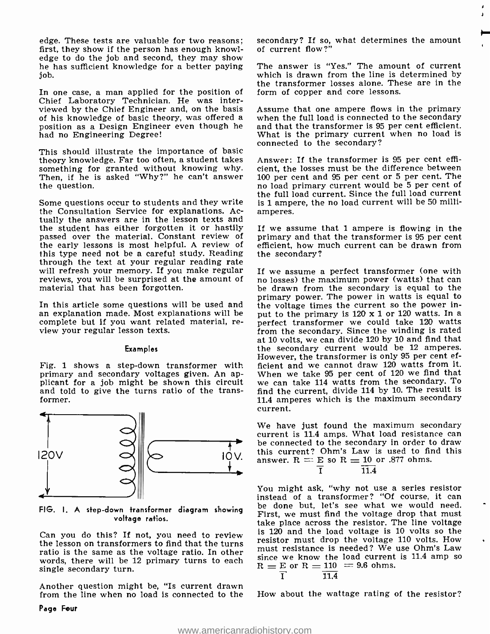edge. These tests are valuable for two reasons; first, they show if the person has enough knowledge to do the job and second, they may show he has sufficient knowledge for a better paying job.

In one case, a man applied for the position of Chief Laboratory Technician. He was interviewed by the Chief Engineer and, on the basis of his knowledge of basic theory, was offered a position as a Design Engineer even though he had no Engineering Degree!

This should illustrate the importance of basic theory knowledge. Far too often, a student takes something for granted without knowing why. cient, the losses must be the difference between<br>Then, if he is asked "Why?" he can't answer 100 per cent and 95 per cent or 5 per cent. The Then, if he is asked "Why ?" he can't answer the question.

Some questions occur to students and they write the Consultation Service for explanations. Actually the answers are in the lesson texts and the student has either forgotten it or hastily passed over the material. Constant review of the early lessons is most helpful. A review of this type need not be a careful study. Reading the secondary?<br>through the text at your regular reading rate<br>will refresh your memory. If you make regular the assume a perfect transformer (one with will refresh your memory. If you make regular reviews, you will be surprised at the amount of no losses) the maximum power (watts) that can material that has been forgotten. material that has been forgotten.

In this article some questions will be used and  $\overline{ }$  the voltage times the current so the power in-<br>an explanation made. Most explanations will be put to the primary is 120 x 1 or 120 watts. In a complete but if you want related material, re- view your regular lesson texts.

#### Examples

Fig. 1 shows a step -down transformer with primary and secondary voltages given. An ap-<br>plicant for a job might be shown this circuit we can take 114 watts from the secondary. To and told to give the turns ratio of the transformer.



voltage ratios.

Can you do this? If not, you need to review the lesson on transformers to find that the turns ratio is the same as the voltage ratio. In other this resistance is needed: we use Office Daw<br>words, there will be 12 primary tunns to each since we know the load current is 11.4 amp so words, there will be 12 primary turns to each single secondary turn.

Another question might be, "Is current drawn from the line when no load is connected to the secondary? If so, what determines the amount of current flow ?"

The answer is "Yes." The amount of current which is drawn from the line is determined by the transformer losses alone. These are in the form of copper and core lessons.

Assume that one ampere flows in the primary when the full load is connected to the secondary and that the transformer is 95 per cent efficient. What is the primary current when no load is connected to the secondary?

Answer: If the transformer is 95 per cent efficient, the losses must be the difference between no load primary current would be 5 per cent of the full load current. Since the full load current is 1 ampere, the no load current will be 50 milliamperes.

If we assume that 1 ampere is flowing in the primary and that the transformer is 95 per cent efficient, how much current can be drawn from the secondary?

no losses) the maximum power (watts) that can primary power. The power in watts is equal to the voltage times the current so the power inperfect transformer we could take 120 watts. from the secondary. Since the winding is rated at 10 volts, we can divide 120 by 10 and find that the secondary current would be 12 amperes. However, the transformer is only 95 per cent efficient and we cannot draw 120 watts from it. When we take 95 per cent of 120 we find that find the current, divide 114 by 10. The result is 11.4 amperes which is the maximum secondary current.

We have just found the maximum secondary current is 11.4 amps. What load resistance can be connected to the secondary in order to draw this current? Ohm's Law is used to find this answer.  $R = E$  so  $R = 10$  or .877 ohms.<br> $\frac{1}{1}$ 

FIG. I. A step-down transformer diagram showing be done but, let's see what we would need. You might ask, "why not use a series resistor instead of a transformer? "Of course, it can First, we must find the voltage drop that must take place across the resistor. The line voltage is 120 and the load voltage is 10 volts so the resistor must drop the voltage 110 volts. How must resistance is needed? We use Ohm's Law  $R = E \text{ or } R = 110 = 9.6 \text{ ohms.}$ <br> $\frac{1}{1}$ 

$$
11.4
$$

How about the wattage rating of the resistor?

Page Four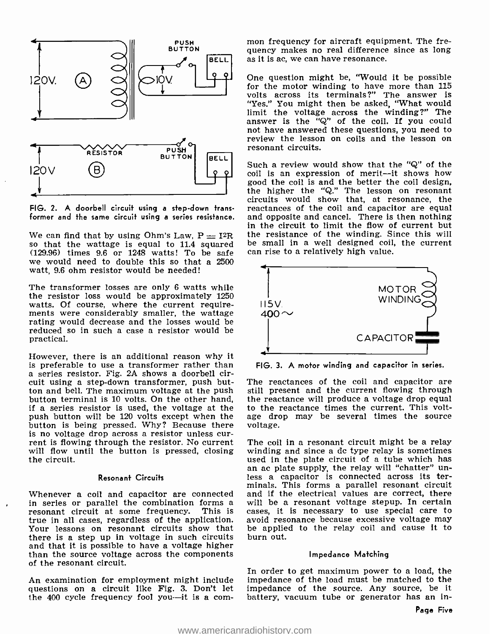

FIG. 2. A doorbell circuit using a step -down trans-

We can find that by using Ohm's Law,  $P = I^2R$  the resistance of the winding. Si<br>so that the wattage is equal to 11.4 squared be small in a well designed coil,<br>(129.96) times 9.6 or 1248 watts! To be safe can rise to a rel we would need to double this so that a 2500 watt, 9.6 ohm resistor would be needed!

The transformer losses are only 6 watts while the resistor loss would be approximately 1250 watts. Of course, where the current require-<br>ments were considerably smaller, the wattage<br>rating would decrease and the losses would be reduced so in such a case a resistor would be practical.

However, there is an additional reason why it is preferable to use a transformer rather than a series resistor. Fig. 2A shows a doorbell circuit using a step-down transformer, push but-<br>ton and bell. The maximum voltage at the push button terminal is 10 volts. On the other hand, if a series resistor is used, the voltage at the push button will be 120 volts except when the age drobutton is being pressed. Why? Because there voltage. button is being pressed. Why? Because there is no voltage drop across a resistor unless current is flowing through the resistor. No current The coil in a resonant circuit might be a relay will flow until the button is pressed, closing the circuit.

#### Resonant Circuits

Whenever a coil and capacitor are connected in series or parallel the combination forms a resonant circuit at some frequency. This is true in all cases, regardless of the application. Your lessons on resonant circuits show that there is a step up in voltage in such circuits<br>and that it is possible to have a voltage higher than the source voltage across the components of the resonant circuit.

An examination for employment might include questions on a circuit like Fig. 3. Don't let the  $400$  cycle frequency fool you--it is a common frequency for aircraft equipment. The frequency makes no real difference since as long as it is ac, we can have resonance.

One question might be, "Would it be possible for the motor winding to have more than 115 volts across its terminals ?" The answer is "Yes." You might then be asked, "What would limit the voltage across the winding ?" The answer is the "Q" of the coil. If you could not have answered these questions, you need to review the lesson on coils and the lesson on resonant circuits.

former and the same circuit using a series resistance. and opposite and cancel. There is then nothing<br>in the circuit to limit the flow of current but Such a review would show that the "Q" of the coil is an expression of merit—it shows how<br>good the coil is and the better the coil design. the higher the "Q." The lesson on resonant circuits would show that, at resonance, the and opposite and cancel. There is then nothing the resistance of the winding. Since this will be small in a well designed coil, the current



FIG. 3. A motor winding and capacitor in series.

The reactances of the coil and capacitor are still present and the current flowing through the reactance will produce a voltage drop equal to the reactance times the current. This voltage drop may be several times the source

winding and since a dc type relay is sometimes<br>used in the plate circuit of a tube which has an ac plate supply, the relay will "chatter" un-<br>less a capacitor is connected across its terminals. This forms a parallel resonant circuit and if the electrical values are correct, there will be a resonant voltage stepup. In certain cases, it is necessary to use special care to avoid resonance because excessive voltage may be applied to the relay coil and cause it to burn out.

#### Impedance Matching

In order to get maximum power to a load, the impedance of the load must be matched to the impedance of the source. Any source, be it battery, vacuum tube or generator has an in-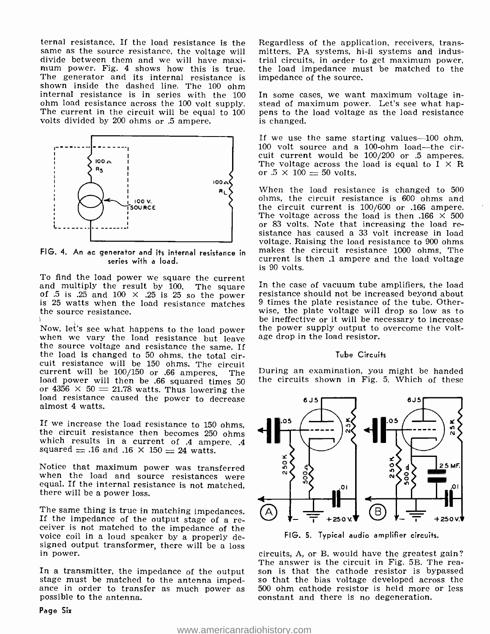ternal resistance. If the load resistance is the same as the source resistance, the voltage will divide between them and we will have maxi- trial circuits, in order to get maximum power, mum power. Fig. 4 shows how this is true. the load impedance must be matched to the The generator and its internal resistance is shown inside the dashed line. The 100 ohm internal resistance is in series with the <sup>100</sup> ohm load resistance across the 100 volt supply. The current in the circuit will be equal to <sup>100</sup> volts divided by 200 ohms or .5 ampere.



FIG. 4. An ac generator and ifs internal resistance in series with a load.

To find the load power we square the current and multiply the result by 100. The square of .5 is .25 and 100  $\times$  .25 is 25 so the power is 25 watts when the load resistance matches the source resistance.

Now, let's see what happens to the load power when we vary the load resistance but leave the source voltage and resistance the same. If<br>the load is changed to 50 ohms, the total circuit resistance will be 150 ohms. The circuit current will be 100/150 or .66 amperes. The<br>load power will then be .66 squared times 50 or  $4356 \times 50 = 21.78$  watts. Thus lowering the load resistance caused the power to decrease almost 4 watts.

If we increase the load resistance to 150 ohms, the circuit resistance then becomes 250 ohms which results in a current of .4 ampere. .4 squared  $= .16$  and  $.16 \times 150 = 24$  watts.

Notice that maximum power was transferred when the load and source resistances were equal. If the internal resistance is not matched, there will be a power loss.

The same thing is true in matching impedances. If the impedance of the output stage of a re- ceiver is not matched to the impedance of the voice coil in a loud speaker by a properly designed output transformer, there will be a loss<br>in power. in power.

In a transmitter, the impedance of the output stage must be matched to the antenna imped-<br>ance in order to transfer as much power as<br>possible to the antenna.

Regardless of the application, receivers, transmitters, PA systems, hi-fi systems and industrial circuits, in order to get maximum power, impedance of the source.

In some cases, we want maximum voltage instead of maximum power. Let's see what happens to the load voltage as the load resistance is changed.

If we use the same starting values—100 ohm, 100 volt source and a 100-ohm load-the circuit current would be 100/200 or .5 amperes.<br>The voltage across the load is equal to I  $\times$  R or .5  $\times$  100 = 50 volts.

When the load resistance is changed to 500 ohms, the circuit resistance is 600 ohms and<br>the circuit current is 100/600 or .166 ampere. The voltage across the load is then .166  $\times$  500 or 83 volts. Note that increasing the load resistance has caused a 33 volt increase in load voltage. Raising the load resistance to 900 ohms makes the circuit resistance 1000 ohms. The current is then .1 ampere and the load voltage is 90 volts.

In the case of vacuum tube amplifiers, the load resistance should not be increased beyond about 9 times the plate resistance of the tube. Otherwise, the plate voltage will drop so low as to be ineffective or it will be necessary to increase the power supply output to overcome the voltage drop in the load resistor.

#### Tube Circuits

During an examination, you might be handed the circuits shown in Fig. 5. Which of these



FIG. 5. Typical audio amplifier circuits.

The answer is the circuit in Fig. 5B. The rea-<br>son is that the cathode resistor is bypassed<br>so that the bias voltage developed across the 500 ohm cathode resistor is held more or less constant and there is no degeneration.

Page Six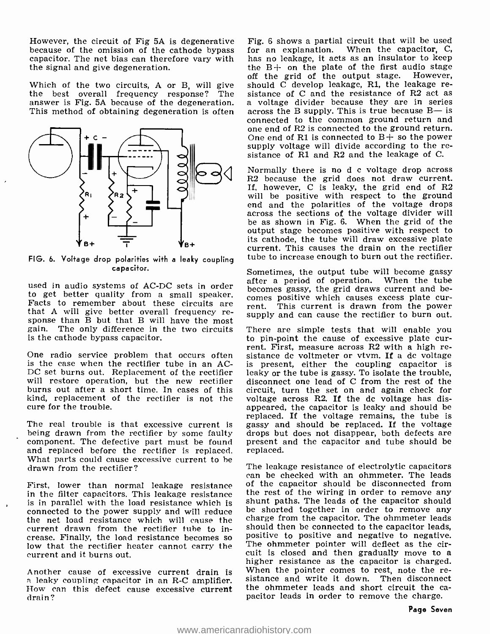However, the circuit of Fig 5A is degenerative because of the omission of the cathode bypass capacitor. The net bias can therefore vary with the signal and give degeneration.

answer is Fig. 5A because of the degeneration. a voltage divider because they are in series This method of obtaining degeneration is often across the B supply. This is true because  $B$ — is



FIG. 6. Voltage drop polarities with a leaky coupling capacitor.

used in audio systems of AC-DC sets in order a pecomes gassy, the grid draws current and beto get better quality from a small speaker.  $\frac{1}{100}$  conserved from Fracts to remember about these circuits are  $\frac{1}{100}$ that A will give better overall frequency re- sponse than B but that B will have the most gain. The only difference in the two circuits There are simple tests that will enable you<br>is the cathode bypass capacitor. <br>to pin-point the cause of excessive plate curis the cathode bypass capacitor.

One radio service problem that occurs often sistance de voltmeter or vtvm. If a de voltage is the case when the rectifier tube in an AC-DC set burns out. Replacement of the rectifier will restore operation, but the new rectifier burns out after a short time. In cases of this kind, replacement of the rectifier is not the cure for the trouble.

The real trouble is that excessive current is gassy and should be replaced. If the voltage being drawn from the rectifier by some faulty drops but does not disappear, both defects are being drawn from the rectifier by some faulty component. The defective part must be found<br>and replaced before the rectifier is replaced. What parts could cause excessive current to be<br>drawn from the rectifier? drawn from the rectifier?

First, lower than normal leakage resistance of the capacitor should be disconnected from<br>in the filter capacitors. This leakage resistance the rest of the wiring in order to remove any in the filter capacitors. This leakage resistance is in parallel with the load resistance which is shunt paths. The leads of the capacitor should<br>connected to the nower sunnly and will reduce be shorted together in order to remove any connected to the power supply and will reduce the net load resistance which will cause the current drawn from the rectifier tube to in-<br>crease. Finally, the load resistance becomes so creasive to positive and negative to negative.<br>low that the rectifier heater cannot carry the The ohmmeter pointer will deflect a current and it burns out.

drain?

Which of the two circuits, A or B, will give should  $\overline{C}$  develop leakage, R1, the leakage re-<br>the best overall frequency response? The sistance of C and the resistance of R2 act as<br>answer is Fig. 5A because of the deg Fig. 6 shows a partial circuit that will be used for an explanation. When the capacitor, C, has no leakage, it acts as an insulator to keep the B+ on the plate of the first audio stage off the grid of the output stage. However, sistance of C and the resistance of R2 act as connected to the common ground return and one end of R2 is connected to the ground return. One end of R1 is connected to  $B+$  so the power supply voltage will divide according to the resistance of  $\overline{R1}$  and  $\overline{R2}$  and the leakage of C.

> Normally there is no d c voltage drop across R2 because the grid does not draw current. If, however, C is leaky, the grid end of R2 will be positive with respect to the ground end and the polarities of the voltage drops across the sections of the voltage divider will be as shown in Fig. 6. When the grid of the output stage becomes positive with respect to its cathode, the tube will draw excessive plate current. This causes the drain on the rectifier tube to increase enough to burn out the rectifier.

> Sometimes, the output tube will become gassy after a period of operation. When the tube comes positive which causes excess plate cur-<br>rent. This current is drawn from the power supply and can cause the rectifier to burn out.

> There are simple tests that will enable you rent. First, measure across R2 with a high reis present, either the coupling capacitor is leaky or the tube is gassy. To isolate the trouble, disconnect one lead of C from the rest of the circuit, turn the set on and again check for voltage across R2. If the dc voltage has disappeared, the capacitor is leaky and should be replaced. If the voltage remains, the tube is gassy and should be replaced. If the voltage present and the capacitor and tube should be replaced.

Another cause of excessive current drain is When the pointer comes to rest, note the re-<br>
a leaky coupling capacitor in an R-C amplifier. Sistance and write it down. Then disconnect<br>  $\frac{d}{dr}$  in  $\frac{dr}{dr}$  and this defect can be checked with an ohmmeter. The leads of the capacitor should be disconnected from shunt paths. The leads of the capacitor should charge from the capacitor. The ohmmeter leads should then be connected to the capacitor leads, positive to positive and negative to negative. cuit is closed and then gradually move to a higher resistance as the capacitor is charged. the ohmmeter leads and short circuit the ca-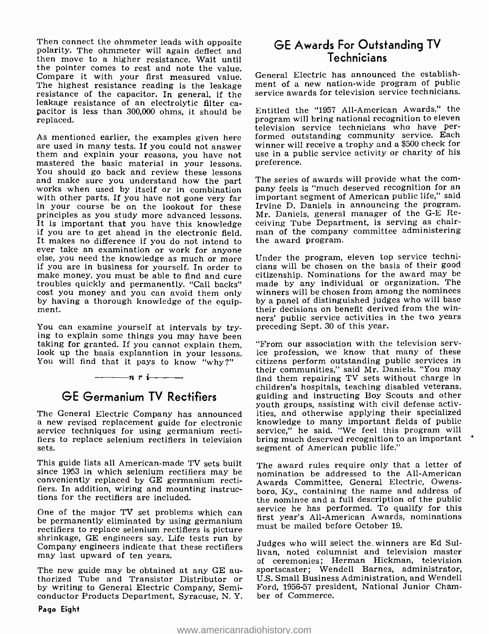Then connect the ohmmeter leads with opposite polarity. The ohmmeter will again deflect and then move to a higher resistance. Wait until the pointer comes to rest and note the value. Compare it with your first measured value.<br>The highest resistance reading is the leakage resistance of the capacitor. In general, if the leakage resistance of an electrolytic filter ca- pacitor is less than 300,000 ohms, it should be replaced.

As mentioned earlier, the examples given here are used in many tests. If you could not answer winner will receive a trophy and a \$500 check for<br>them and explain your reasons, you have not use in a public service activity or charity of his them and explain your reasons, you have not mastered the basic material in your lessons. You should go back and review these lessons<br>and make sure you understand how the part works when used by itself or in combination pany feels is "much deserved recognition for an with other parts. If you have not gone very far important segment of American public life," said with other parts. If you have not gone very far in your course be on the lookout for these principles as you study more advanced lessons. It is important that you have this knowledge ceiving Tube Department, is serving as chair-<br>if you are to get ahead in the electronic field. In man of the company committee administering<br>It makes no difference if you do not ever take an examination or work for anyone<br>else, you need the knowledge as much or more<br>if you are in business for yourself. In order to make money, you must be able to find and cure troubles quickly and permanently. "Call backs" cost you money and you can avoid them only by having a thorough knowledge of the equip- ment.

You can examine yourself at intervals by try-<br>ing to explain some things you may have been<br>taking for granted. If you cannot explain them, <br>look up the basis explanation in your lessons. ice profession, we know that many o You will find that it pays to know "why ?"

#### $n r$  i

## GE Germanium TV Rectifiers

The General Electric Company has announced a new revised replacement guide for electronic service techniques for using germanium rectifiers to replace selenium rectifiers in television sets.

This guide lists all American -made TV sets built since 1953 in which selenium rectifiers may be conveniently replaced by GE germanium rectifiers. In addition, wiring and mounting instructions for the rectifiers are included.

One of the major TV set problems which can<br>be permanently eliminated by using germanium<br>rectifiers to replace selenium rectifiers is picture<br>shrinkage, GE engineers say. Life tests run by<br>Company engineers indicate that th may last upward of ten years.

The new guide may be obtained at any GE au-<br>thorized Tube and Transistor Distributor or<br>by writing to General Electric Company, Semiconductor Products Department, Syracuse, N. Y.

#### GE Awards For Outstanding TV Technicians

General Electric has announced the establishment of a new nation-wide program of public service awards for television service technicians.

Entitled the "1957 All-American Awards," the program will bring national recognition to eleven television service technicians who have performed outstanding community service. Each winner will receive a trophy and a \$500 check for preference.

The series of awards will provide what the com-Irvine D. Daniels in announcing the program. Mr. Daniels, general manager of the G-E Receiving Tube Department, is serving as chairthe award program.

Under the program, eleven top service technicians will be chosen on the basis of their good citizenship. Nominations for the award may be made by any individual or organization. The winners will be chosen from among the nominees by a panel of distinguished judges who will base their decisions on benefit derived from the winners' public service activities in the two years preceding Sept. 30 of this year.

ice profession, we know that many of these citizens perform outstanding public services in their communities," said Mr. Daniels. "You may find them repairing TV sets without charge in children's hospitals, teaching disabled veterans, guiding and instructing Boy Scouts and other youth groups, assisting with civil defense activities, and otherwise applying their specialized knowledge to many important fields of public service," he said. "We feel this program will bring much deserved recognition to an important segment of American public life."

The award rules require only that a letter of nomination be addressed to the All-American Awards Committee, General Electric, Owensboro, Ky., containing the name and address of the nominee and a full description of the public service he has performed. To qualify for this first year's All-American Awards, nominations must be mailed before October 19.

Judges who will select the winners are Ed Sullivan, noted columnist and television master of ceremonies; Herman Hickman, television sportscaster; Wendell Barnes, administrator, U.S. Small Business Administration, and Wendell Ford, 1956 -57 president, National Junior Chamber of Commerce.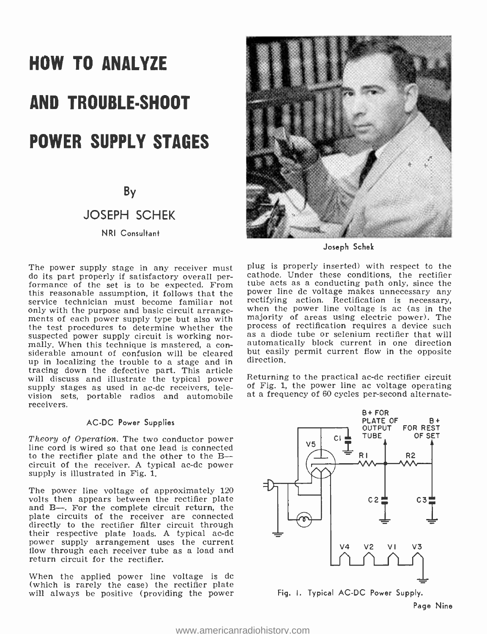# HOW TO ANALYZE AND TROUBLE -SHOOT POWER SUPPLY STAGES

By

#### JOSEPH SCHEK

NRI Consultant

The power supply stage in any receiver must<br>do its part properly if satisfactory overall performance of the set is to be expected. From tube acts as a conducting path only, since the this reasonable assumption it follows that the power line dc voltage makes unnecessary any this reasonable assumption, it follows that the service technician must become familiar not only with the purpose and basic circuit arrangements of each power supply type but also with majority of areas using electric power). The<br>the test procedures to determine whether the process of rectification requires a device such the test procedures to determine whether the suspected power supply circuit is working normally. When this technique is mastered, a con-<br>siderable amount of confusion will be cleared up in localizing the trouble to a stage and in tracing down the defective part. This article supply stages as used in ac-dc receivers, television sets, portable radios and automobile receivers.

#### AC -DC Power Supplies

Theory of Operation. The two conductor power line cord is wired so that one lead is connected to the rectifier plate and the other to the Bcircuit of the receiver. A typical ac -dc power supply is illustrated in Fig. 1.

The power line voltage of approximately 120 volts then appears between the rectifier plate and B--. For the complete circuit return, the plate circuits of the receiver are connected directly to the rectifier filter circuit through their respective plate loads. A typical ac-dc power supply arrangement uses the current flow through each receiver tube as a load and return circuit for the rectifier.

When the applied power line voltage is dc<br>(which is rarely the case) the rectifier plate will always be positive (providing the power



Joseph Schek

plug is properly inserted) with respect to the cathode. Under these conditions, the rectifier tube acts as a conducting path only, since the positiving action. Rectification is necessary, when the power line voltage is ac (as in the majority of areas using electric power). The as a diode tube or selenium rectifier that will automatically block current in one direction but easily permit current flow in the opposite direction.

Returning to the practical ac-dc rectifier circuit of Fig. 1, the power line ac voltage operating at a frequency of 60 cycles per- second alternate-



Page Nine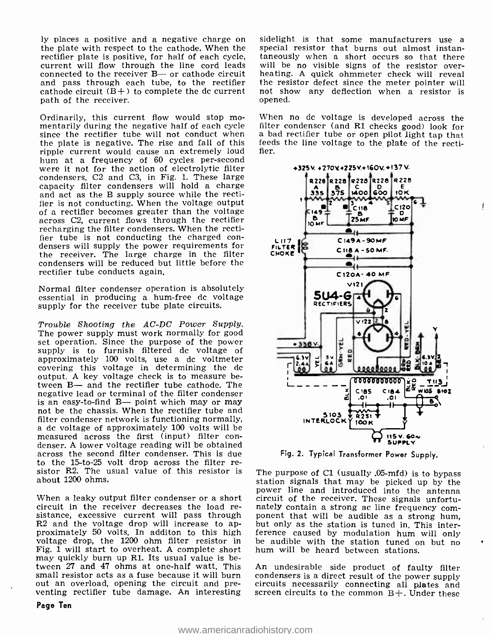ly places a positive and a negative charge on sidelight is that some manufacturers use a<br>the plate with respect to the cathode. When the special resistor that burns out almost instanrectifier plate is positive, for half of each cycle, taneously when a short occurs so that there current will flow through the line cord leads will be no visible signs of the resistor overcurrent will flow through the line cord leads connected to the receiver  $B-$  or cathode circuit and pass through each tube, to the rectifier cathode circuit  $(B+)$  to complete the dc current path of the receiver.

Ordinarily, this current flow would stop mo-<br>mentarily during the negative half of each cycle filter condenser (and R1 checks good) look for since the rectifier tube will not conduct when the plate is negative. The rise and fall of this ripple current would cause an extremely loud<br>hum at a frequency of 60 cycles per-second were it not for the action of electrolytic filter condensers.  $C2$  and  $C3$ , in Fig. 1. These large capacity filter condensers will hold a charge and act as the B supply source while the rectifier is not conducting. When the voltage output<br>of a rectifier becomes greater than the voltage across C2, current flows through the rectifier recharging the filter condensers. When the rectifier tube is not conducting the charged con- densers will supply the power requirements for fier tube is not conducting the charged con-<br>densers will supply the power requirements for  $\epsilon_{\text{LITER}}$ <br>the receiver. The large charge in the filter  $\epsilon_{\text{HQ}}$ condensers will be reduced but little before the rectifier tube conducts again.

Normal filter condenser operation is absolutely essential in producing a hum-free dc voltage supply for the receiver tube plate circuits.

Trouble Shooting the AC -DC Power Supply. The power supply must work normally for good set operation. Since the purpose of the power supply is to furnish filtered dc voltage of approximately 100 volts, use a dc voltmeter covering this voltage in determining the dc output. A key voltage check is to measure between B- and the rectifier tube cathode. The negative lead or terminal of the filter condenser is an easy-to-find B- point which may or may not be the chassis. When the rectifier tube and filter condenser network is functioning normally, a dc voltage of approximately 100 volts will be measured across the first (input) filter con-<br>denser. A lower voltage reading will be obtained<br>across the second filter condenser. This is due<br>to the 15-to-25 volt drop across the filter resistor R2. The usual value of this resistor is The purpose of C1 (usually  $0.05$ -mfd) is to bypass about 1200 ohms.

When a leaky output filter condenser or a short circuit of the receiver. These signals unfortu-<br>circuit in the receiver decreases the load re-<br>nately contain a strong ac line frequency comsistance, excessive current will pass through ponent that will be audible as a strong hum,  $R2$  and the voltage drop will increase to ap- but only as the station is tuned in This interproximately 50 volts. In additon to this high ference caused by modulation hum will only voltage drop, the 1200 ohm filter resistor in be audible with the station tuned on but no Fig. 1 will start to overheat. A complete s Fig. 1 will start to overheat. A complete short may quickly burn up Rl. Its usual value is between 27 and 47 ohms at one -half watt. This small resistor acts as a fuse because it will burn condensers is a direct result of the power supply out an overload, opening the circuit and pre- circuits necessarily connecting all plates and

Page Ten

sidelight is that some manufacturers use a taneously when a short occurs so that there heating. A quick ohmmeter check will reveal the resistor defect since the meter pointer will not show any deflection when a resistor is opened.

When no dc voltage is developed across the a bad rectifier tube or open pilot light tap that feeds the line voltage to the plate of the rectifier.



Fig. 2. Typical Transformer Power Supply.

station signals that may be picked up by the power line and introduced into the antenna but only as the station is tuned in. This interbe audible with the station tuned on but no

venting rectifier tube damage. An interesting screen circuits to the common  $B+$ . Under these An undesirable side product of faulty filter condensers is a direct result of the power supply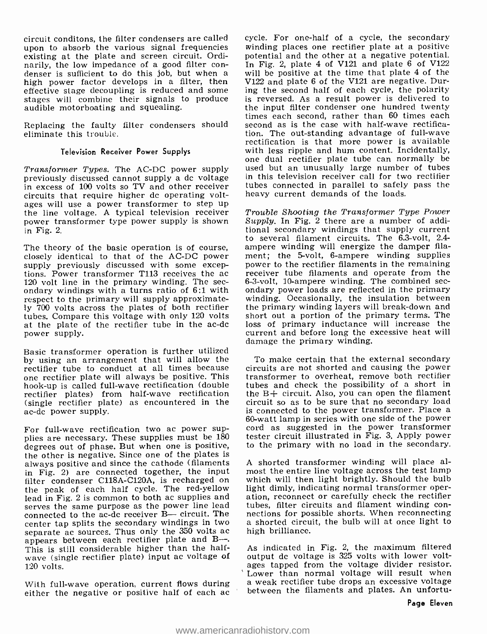circuit conditons, the filter condensers are called upon to absorb the various signal frequencies existing at the plate and screen circuit. Ordinarily, the low impedance of a good filter condenser is sufficient to do this job, but when a high power factor develops in a filter, then effective stage decoupling is reduced and some stages will combine their signals to produce audible motorboating and squealing.

Replacing the faulty filter condensers should<br>eliminate this trouble.<br>eliminate this trouble.<br>eliminate this trouble. eliminate this trouble.

#### Television Receiver Power Supplys

Transformer Types. The AC-DC power supply previously discussed cannot supply a de voltage in excess of 100 volts so TV and other receiver circuits that require higher de operating voltages will use a power transformer to step up the line voltage. A typical television receiver power transformer type power supply is shown in Fig. 2.

The theory of the basic operation is of course, closely identical to that of the AC-DC power ment; the 5-volt, 6-ampere winding supplies<br>sunply previously discussed with some excep-<br>power to the rectifier filaments in the remaining supply previously discussed with some exceptions. Power transformer T113 receives the ac 120 volt line in the primary winding. The sec-  $6-3$ -volt, 10-ampere winding. The combined secondary windings with a turns ratio of 6:1 with  $\frac{1}{2}$  ondary power loads are reflected in the primary respect to the primary will supply approximately 700 volts across the plates of both rectifier tubes. Compare this voltage with only 120 volts at the plate of the rectifier tube in the ac-dc power supply.

Basic transformer operation is further utilized by using an arrangement that will allow the one rectifier plate will always be positive. This hook-up is called full-wave rectification (double rectifier plates) from half-wave rectification (single rectifier plate) as encountered in the ac -dc power supply.

For full-wave rectification two ac power supplies are necessary. These supplies must be 180 degrees out of phase. But when one is positive, the other is negative. Since one of the plates is always positive and since the cathode (filaments in Fig. 2) are connected together, the input<br>filter condenser C118A-C120A, is recharged on the peak of each half cycle. The red-yellow lead in Fig. 2 is common to both ac supplies and ation, reconnect or carefully check the rectifier<br>serves the same purpose as the power line lead tubes, filter circuits and filament winding con-<br>connected to the ac-dc rece connected to the ac-dc receiver  $B$ — circuit. The nections for possible shorts. When reconnecting center tap splits the secondary windings in two a shorted circuit, the bulb will at once light to center tap splits the secondary windings in two separate ac sources. Thus only the 350 volts ac appears between each rectifier plate and B—. This is still considerable higher than the half-wave (single rectifier plate) input ac voltage of 120 volts.

With full-wave operation, current flows during either the negative or positive half of each ac

cycle. For one -half of a cycle, the secondary winding places one rectifier plate at a positive potential and the other at a negative potential. In Fig. 2, plate 4 of V121 and plate 6 of V122 will be positive at the time that plate 4 of the V122 and plate 6 of the V121 are negative. During the second half of each cycle, the polarity is reversed. As a result power is delivered to the input filter condenser one hundred twenty times each second, rather than 60 times each second as is the case with half-wave rectificarectification is that more power is available with less ripple and hum content. Incidentally, one dual rectifier plate tube can normally be used but an unusually large number of tubes in this television receiver call for two rectifier tubes connected in parallel to safely pass the heavy current demands of the loads.

Trouble Shooting the Transformer Type Power Supply. In Fig. 2 there are a number of additional secondary windings that supply current to several filament circuits. The 6.3 -volt, 2.4 ampere winding will energize the damper filament; the 5-volt, 6-ampere winding supplies receiver tube filaments and operate from the 6-3-volt, 10-ampere winding. The combined secwinding. Occasionally, the insulation between the primary winding layers will break -down and short out a portion of the primary terms. The loss of primary inductance will increase the current and before long the excessive heat will damage the primary winding.

To make certain that the external secondary circuits are not shorted and causing the power transformer to overheat, remove both rectifier tubes and check the possibility of a short in the B+ circuit. Also, you can open the filament circuit so as to be sure that no secondary load 60-watt lamp in series with one side of the power. cord as suggested in the power transformer tester circuit illustrated in Fig. 3. Apply power to the primary with no load in the secondary.

A shorted transformer winding will place almost the entire line voltage across the test lamp which will then light brightly. Should the bulb light dimly, indicating normal transformer operation, reconnect or carefully check the rectifier tubes, filter circuits and filament winding conhigh brilliance.

As indicated in Fig. 2, the maximum filtered output dc voltage is 325 volts with lower voltages tapped from the voltage divider resistor.<br>Lower than normal voltage will result when a weak rectifier tube drops an excessive voltage between the filaments and plates. An unfortu-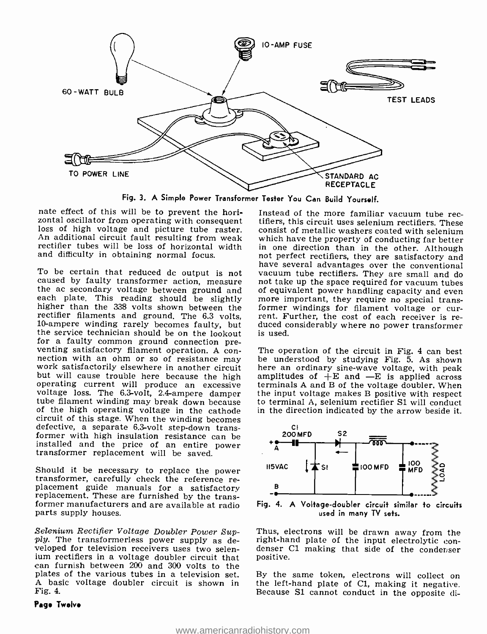

Fig. 3. A Simple Power Transformer Tester You Can Build Yourself.

nate effect of this will be to prevent the horizontal oscillator from operating with consequent nate effect of this will be to prevent the hori-<br>zontal oscillator from operating with consequent iffiers, this circuit uses selenium rectifiers. These<br>loss of high voltage and picture tube raster. consist of metallic wash An additional circuit fault resulting from weak and difficulty in obtaining normal focus.

To be certain that reduced dc output is not caused by faulty transformer action, measure the ac secondary voltage between ground and of equivalent power handling capacity and even<br>each plate. This reading should be slightly more important, they require no special transhigher than the 338 volts shown between the former windings for filament voltage or currectifier filaments and ground. The 6.3 volts, rent. Further, the cost of each receiver is re-<br>10-ampere winding rarely becomes faulty, 10-ampere winding rarely becomes faulty, but the service technician should be on the lookout for a faulty common ground connection preventing satisfactory filament operation. A con-<br>nection of the circuit in Fig. 4 can best<br>nection with an ohm or so of resistance may be understood by studying Fig. 5. As shown<br>work satisfactorily elsewhere in another cir but will cause trouble here because the high amplitudes of  $+E$  and  $-E$  is applied across operating current will produce an excessive terminals A and B of the voltage doubler. When voltage loss. The 6.3 -volt, 2.4- ampere damper tube filament winding may break down because of the high operating voltage in the cathode circuit of this stage. When the winding becomes defective, a separate 6.3-volt step-down transformer with high insulation resistance can be installed and the price of an entire power transformer replacement will be saved.

Should it be necessary to replace the power<br>transformer, carefully check the reference re-<br>placement guide manuals for a satisfactory<br>replacement. These are furnished by the trans-<br>former manufacturers and are available at parts supply houses.

Selenium Rectifier Voltage Doubler Power Sup-<br>ply. The transformerless power supply as developed for television receivers uses two selenium rectifiers in a voltage doubler circuit that can furnish between 200 and 300 volts to the<br>plates of the various tubes in a television set. By the same token, electrons will collect on plates of the various tubes in a television set. By the same token, electrons will collect on A basic voltage doubler circuit is shown in the left-hand plate of C1, making it negative. A basic voltage doubler circuit is shown in Fig. 4.

#### Page Twelve

rectifier tubes will be loss of horizontal width in one direction than in the other. Although and difficulty in obtaining normal focus. The not perfect rectifiers, they are satisfactory and tifiers, this circuit uses selenium rectifiers. These consist of metallic washers coated with selenium which have the property of conducting far better in one direction than in the other. Although have several advantages over the conventional vacuum tube rectifiers. They are small and do not take up the space required for vacuum tubes of equivalent power handling capacity and even former windings for filament voltage or curis used.

> The operation of the circuit in Fig. 4 can best be understood by studying Fig. 5. As shown here an ordinary sine-wave voltage, with peak the input voltage makes B positive with respect to terminal A, selenium rectifier S1 will conduct in the direction indicated by the arrow beside it.



Fig. 4. A Voltage- doubler circuit similar to circuits used in many TV sets.

Thus, electrons will be drawn away from the right-hand plate of the input electrolytic condenser C1 making that side of the condenser denser C1 making that side of the conderser positive.

Because S1 cannot conduct in the opposite di-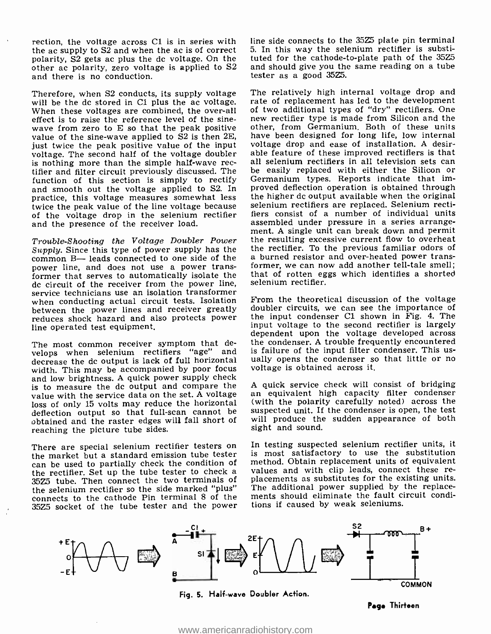rection, the voltage across Cl is in series with the ac supply to S2 and when the ac is of correct polarity, S2 gets ac plus the dc voltage. On the other ac polarity, zero voltage is applied to S2 and there is no conduction.

Therefore, when S2 conducts, its supply voltage will be the dc stored in C1 plus the ac voltage. Fate of replacement has led to the development<br>When these voltages are combined, the over-all of two additional types of "dry" rectifiers. One effect is to raise the reference level of the sine-<br>wave from zero to  $E$  so that the peak positive value of the sine-wave applied to S2 is then 2E. just twice the peak positive value of the input voltage. The second half of the voltage doubler able feature of these improved rectifiers is that is nothing more than the simple half-wave rec- all selenium rectifiers in all television sets can tifier and filter circuit previously discussed. The be easily replaced with either the Silicon or<br>function of this section is simply to rectify Germanium types. Reports indicate that imfunction of this section is simply to rectify and smooth out the voltage applied to S2. In practice, this voltage measures somewhat less twice the peak value of the line voltage because of the voltage drop in the selenium rectifier and the presence of the receiver load.

Trouble -Shooting the Voltage Doubler Power Supply. Since this type of power supply has the the rectifier. To the previous familiar odors of common  $B$ — leads connected to one side of the a burned resistor and over-heated power transpower line, and does not use a power transformer that serves to automatically isolate the dc circuit of the receiver from the power line, service technicians use an isolation transformer<br>when conducting actual circuit tests. Isolation From the theoretical discussion of the voltage when conducting actual circuit tests. Isolation between the power lines and receiver greatly reduces shock hazard and also protects power line operated test equipment.

The most common receiver symptom that derelops when selenium rectifiers "age" and is failure of the input filter condenser. This usdecrease the dc output is lack of full horizontal ually opens the condenser so<br>width. This may be accompanied by poor focus voltage is obtained across it. width. This may be accompanied by poor focus and low brightness. A quick power supply check is to measure the dc output and compare the value with the service data on the set. A voltage loss of only 15 volts may reduce the horizontal deflection output so that full-scan cannot be obtained and the raster edges will fall short of reaching the picture tube sides.

35Z5 tube. Then connect the two terminals of the selenium rectifier so the side marked "plus" connects to the cathode Pin terminal 8 of the 35Z5 socket of the tube tester and the power line side connects to the 35Z5 plate pin terminal 5. In this way the selenium rectifier is substituted for the cathode-to-plate path of the 35Z5 and should give you the same reading on a tube tester as a good 35Z5.

The relatively high internal voltage drop and rate of replacement has led to the development new rectifier type is made from Silicon and the other, from Germanium. Both of these units have been designed for long life, low internal voltage drop and ease of installation. A desirable feature of these improved rectifiers is that be easily replaced with either the Silicon or proved deflection operation is obtained through the higher dc output available when the original selenium rectifiers are replaced. Selenium rectifiers consist of a number of individual units assembled under pressure in a series arrangement. A single unit can break down and permit the resulting excessive current flow to overheat the rectifier. To the previous familiar odors of former, we can now add another tell-tale smell; that of rotten eggs which identifies a shorted selenium rectifier.

doubler circuits, we can see the importance of the input condenser Cl shown in Fig. 4. The input voltage to the second rectifier is largely dependent upon the voltage developed across the condenser. A trouble frequently encountered ually opens the condenser so that little or no

A quick service check will consist of bridging an equivalent high capacity filter condenser (with the polarity carefully noted) across the suspected unit. If the condenser is open, the test will produce the sudden appearance of both sight and sound.

There are special selenium rectifier testers on In testing suspected selenium rectifier units, it the market but a standard emission tube tester is most satisfactory to use the substitution can be used to partially check t In testing suspected selenium rectifier units, it is most satisfactory to use the substitution method. Obtain replacement units of equivalent placements as substitutes for the existing units. The additional power supplied by the replacements should eliminate the fault circuit conditions if caused by weak seleniums.



Page Thirteen

<www.americanradiohistory.com>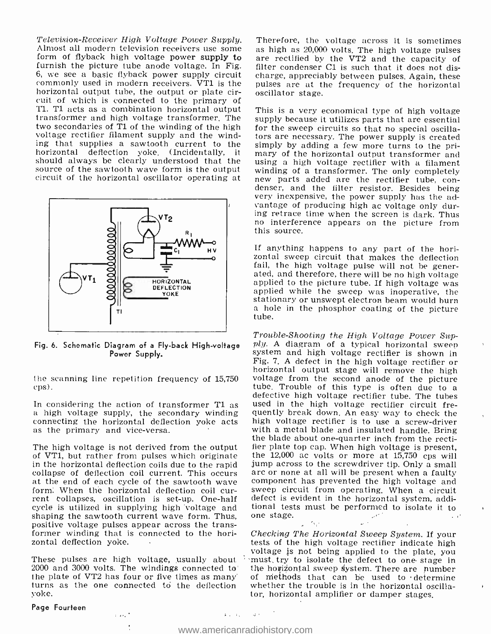Television-Receiver High Voltage Power Supply. Therefore, the voltage across it is sometimes<br>Almost all modern television receivers use some form of flyback high voltage pulses<br>form of flyback high voltage power supply to furnish the picture tube anode voltage. In Fig. 6, we see a basic flyback power supply circuit commonly used in modern receivers. VT1 is the horizontal output tube, the output or plate circuit of which is connected to the primary of T1. T1 acts as a combination horizontal output Tl. T1 acts as a combination horizontal output This is a very economical type of high voltage transformer and high voltage transformer. The supply because it utilizes parts that are essential two secondaries of Tl of the winding of the high voltage rectifier filament supply and the winding that supplies a sawtooth current to the horizontal deflection yoke. (Incidentally, it



Power Supply.

cps).

in the horizontal deflection coils due to the rapid iump across to the screwdriver tip. Only a small collapse of deflection coil current. This occurs arc or none at all will be present when a faulty at the end of each cycl cycle is utilized in supplying high voltage and tional test<br>shaping the sawtooth current wave form. Thus, one stage. shaping the sawtooth current wave form. Thus, positive voltage pulses appear across the transformer winding that is connected to the horizontal deflection yoke.

2000 and 3000 volts. The windings connected to the plate of VT2 has four or five times as many turns as the one connected to the deflection yoke.

 $1.25 \times 10^{-4}$ 

Page Fourteen

Therefore, the voltage across it is sometimes filter condenser Cl is such that it does not discharge, appreciably between pulses. Again, these pulses are at the frequency of the horizontal oscillator stage.

should always be clearly understood that the using a high voltage rectifier with a filament source of the sawtooth wave form is the output winding of a transformer. The only completely circuit of the horizontal oscillator supply because it utilizes parts that are essential for the sweep circuits so that no special oscillators are necessary. The power supply is created simply by adding a few more turns to the primary of the horizontal output transformer and using a high voltage rectifier with a filament winding of a transformer. The only completely new parts added are the rectifier tube, con-<br>denser, and the filter resistor. Besides being very inexpensive, the power supply has the advantage of producing high ac voltage only during retrace time when the screen is dark. Thus no interference appears on the picture from this source.

> If anything happens to any part of the horizontal sweep circuit that makes the deflection fail, the high voltage pulse will not be generated, and therefore, there will be no high voltage applied to the picture tube. If high voltage was applied while the sweep was inoperative, the stationary or unswept electron

Fig. 6. Schematic Diagram of a Fly-back High-voltage  $ply.$  A diagram of a typical horizontal sweep<br>System and high voltage rectifier is shown in the scanning line repetition frequency of 15,750 borizontal output stage will remove the high<br>costs. The scanning line repetition frequency of 15,750 voltage from the second anode of the picture<br>tube. Trouble of this type defective high voltage rectifier tube. The tubes<br>a high voltage supply, the secondary winding<br>a used in the high voltage rectifier circuit fre-<br>a high voltage supply, the secondary winding<br>quently break down. An easy way t Trouble-Shooting the High Voltage Power Sup-<br>ply. A diagram of a typical horizontal sweep<br>system and high voltage rectifier is shown in<br>Fig. 7. A defect in the high voltage rectifier or voltage from the second anode of the picture used in the high voltage rectifier circuit frequently break down. An easy way to check the high voltage rectifier is to use a screw-driver with a metal blade and insulated handle. Bring fier plate top cap. When high voltage is present, jump across to the screwdriver tip. Only a small component has prevented the high voltage and sweep circuit from operating. When a circuit defect is evident in the horizontal system, additional tests must be performed to isolate it to one stage.

voltage is not being applied to the plate, you<br>These pulses are high voltage, usually about in must, try to isolate the defect to one stage in Checking The Horizontal Sweep System. If your tests of the high voltage rectifier indicate high 'must, try to isolate the defect to one stage in the horizontal sweep 6ystem. There are number of methods that can be used to ' determine whether the trouble is in the horizontal oscillator, horizontal amplifier or damper stages.

#### $\mathfrak{s}_{\mathcal{A}}$  ,  $\mathfrak{s}_{\mathcal{A}}$  ,  $\mathfrak{s}_{\mathcal{A}}$  , and <www.americanradiohistory.com>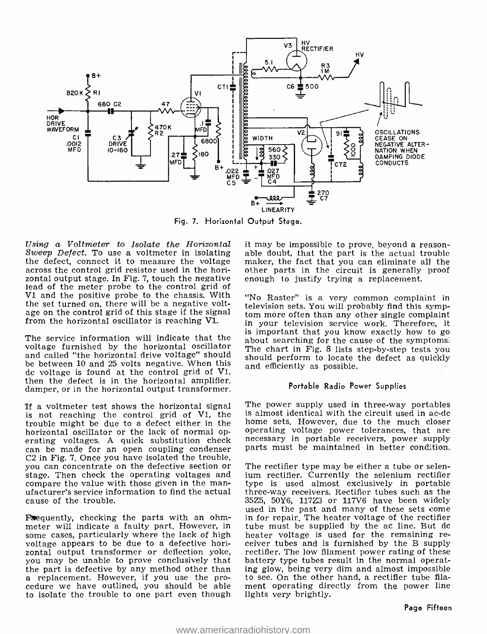

Fig. 7. Horizontal Output Stage.

Sweep Defect. To use a voltmeter in isolating the defect, connect it to measure the voltage across the control grid resistor used in the hori-<br>zontal output stage. In Fig. 7, touch the negative zontal output stage. In Fig. 7, touch the negative enough to justify trying a replacement.<br>lead of the meter probe to the control grid of V1 and the positive probe to the chassis. With the set turned on, there will be a negative voltage on the control grid of this stage if the signal from the horizontal oscillator is reaching VI.

voltage furnished by the horizontal oscillator and called "the horizontal drive voltage" should should perform to locate the defect as quickly be between 10 and 25 volts negative. When this and efficiently as possible. dc voltage is found at the control grid of V1, then the defect is in the horizontal amplifier, damper, or in the horizontal output transformer.

If a voltmeter test shows the horizontal signal is not reaching the control grid of V1, the trouble might be due to a defect either in the erating voltages. A quick substitution check necessary in portable receivers, power supply<br>can be made for an open coupling condenser parts must be maintained in better condition. C2 in Fig. 7. Once you have isolated the trouble, you can concentrate on the defective section or stage. Then check the operating voltages and ufacturer's service information to find the actual cause of the trouble.

**F**equently, checking the parts with an ohm-<br>meter will indicate a faulty part. However, in some cases, particularly where the lack of high voltage appears to be due to a defective horizontal output transformer or deflection yoke, rectifier. The low filament power rating of these you may be unable to prove conclusively that battery type tubes result in the normal operatyou may be unable to prove conclusively that the part is defective by any method other than a replacement. However, if you use the pro- cedure we have outlined, you should be able to isolate the trouble to one part even though

Using a Voltmeter to Isolate the Horizontal it may be impossible to prove, beyond a reasonable doubt, that the part is the actual trouble maker, the fact that you can eliminate all the other parts in the circuit is generally proof

is important that you know exactly how to go<br>The service information will indicate that the about searching for the cause of the symptoms. "No Raster" is a very common complaint in television sets. You will probably find this symptom more often than any other single complaint in your television service work. Therefore, it The chart in Fig. 8 lists step-by-step tests you

#### Portable Radio Power Supplies

The power supply used in three-way portables is almost identical with the circuit used in ac -dc home sets. However, due to the much closer operating voltage power tolerances, that are parts must be maintained in better condition.

The rectifier type may be either a tube or selenium rectifier. Currently the selenium rectifier type is used almost exclusively in portable three -way receivers. Rectifier tubes such as the 35Z5, 50Y6, 117Z3 or 117V6 have been widely in for repair. The heater voltage of the rectifier tube must be supplied by the ac line. But dc heater voltage is used for the remaining re-<br>ceiver tubes and is furnished by the B supply ing glow, being very dim and almost impossible to see. On the other hand, a rectifier tube filament operating directly from the power line lights very brightly.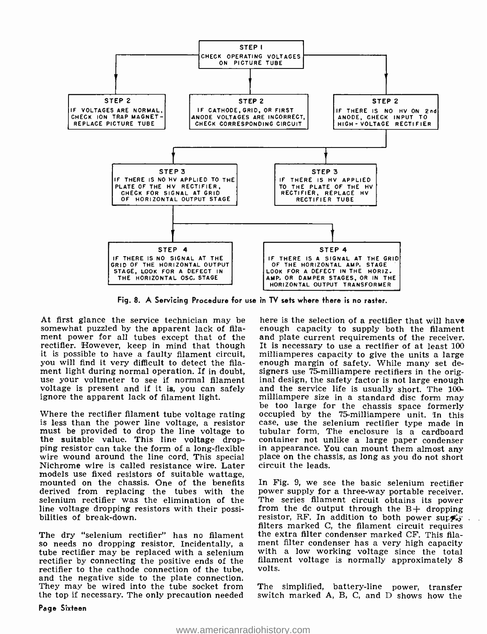

Fig. 8. A Servicing Procedure for use in TV sets where there is no raster.

At first glance the service technician may be somewhat puzzled by the apparent lack of filament power for all tubes except that of the rectifier. However, keep in mind that though It is necessary to use a rectifier of at least 100 it is possible to have a faulty filament circuit, milliamperes capacity to give the units a large you will find it very diffic you will find it very difficult to detect the filament light during normal operation. If in doubt, signers use 75-milliampere rectifiers in the origuse your voltmeter to see if normal filament inal design, the safety factor is not large enough voltage is present and if it voltage is present and if it is, you can safely ignore the apparent lack of filament light.

Where the rectifier filament tube voltage rating occupied by the 75-milliampere unit. In this is less than the power line voltage, a resistor must be provided to drop the line voltage to the suitable value. This line voltage drop- container not unlike a large paper condenser ping resistor can take the form of a long-flexible in appearance. You can mount them almost any wire wound around the line cord. This special Nichrome wire is called resistance wire. Later models use fixed resistors of suitable wattage. mounted on the chassis. One of the benefits derived from replacing the tubes with the power-supply-for-a-three-way-portable-receiver.<br>selenium rectifier was the elimination of the The series filament circuit obtains its power selenium rectifier was the elimination of the The series filament circuit obtains its power<br>line voltage dropping resistors with their possi-<br>from the dc output through the  $B+$  dropping line voltage dropping resistors with their possi- bilities of break -down.

rectifier by connecting the positive ends of the rectifier to the cathode connection of the tube, and the negative side to the plate connection. They may be wired into the tube socket from the top if necessary. The only precaution needed

here is the selection of a rectifier that will have enough capacity to supply both the filament and plate current requirements of the receiver. It is necessary to use a rectifier of at least 100 milliamperes capacity to give the units a large milliampere size in a standard disc form may<br>be too large for the chassis space formerly case, use the selenium rectifier type made in tubular form, The enclosure is a cardboard container not unlike a large paper condenser place on the chassis, as long as you do not short circuit the leads.

The dry "selenium rectifier" has no filament the extra filter condenser marked CF. This filaso needs no dropping resistor. Incidentally, a ment filter condenser has a very high capacity tube rectifier may be replaced with In Fig. 9, we see the basic selenium rectifier power supply for a three-way portable receiver. resistor, RF. In addition to both power supply-<br>filters marked C, the filament circuit requires ment filter condenser has a very high capacity filament voltage is normally approximately 8 volts.

> The simplified, battery-line power, transfer switch marked A, B, C, and D shows how the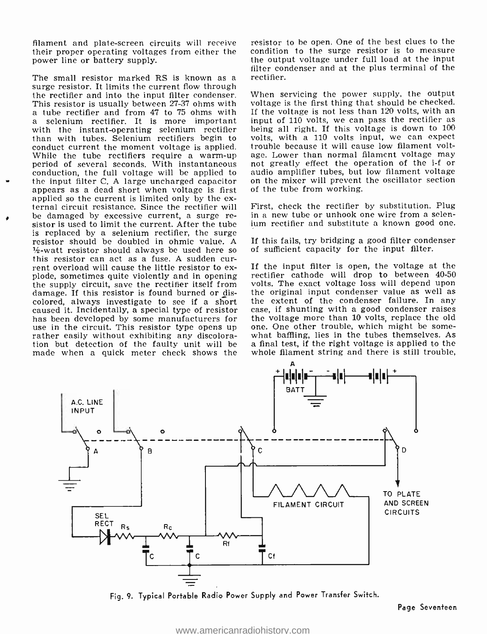filament and plate-screen circuits will receive their proper operating voltages from either the power line or battery supply.

r The small resistor marked RS is known as a surge resistor. It limits the current flow through the rectifier and into the input filter condenser. This resistor is usually between 27-37 ohms with voltage is the first thing that should be checked.<br>
a tube rectifier and from 47 to 75 ohms with If the voltage is not less than 120 volts, with an<br>
a selenium rectifier. I with the instant -operating selenium rectifier than with tubes. Selenium rectifiers begin to conduct current the moment voltage is applied. While the tube rectifiers require a warm-up period of several seconds. With instantaneous and greatly effect the operation of the i-f or conduction, the full voltage will be applied to audio amplifier tubes, but low filament voltage conduction, the full voltage will be applied to audio amplifier tubes, but low filament voltage the input filter  $C$ . A large uncharged capacitor on the mixer will prevent the oscillator section the input filter C. A large uncharged capacitor appears as a dead short when voltage is first<br>applied so the current is limited only by the external circuit resistance. Since the rectifier will<br>be damaged by excessive current, a surge resistor is used to limit the current. After the tube is replaced by a selenium rectifier, the surge resistor should be doubled in ohmic value. A  $\frac{1}{2}$ -watt resistor should always be used here so this resistor can act as a fuse. A sudden cur-<br>rent overload will cause the little resistor to ex-<br>plode, sometimes quite violently and in opening rectifier cathode will drop to between 40-50<br>the supply circuit, save the r damage. If this resistor is found burned or discolored, always investigate to see if a short caused it. Incidentally, a special type of resistor – case, if shunting with a good condenser raises<br>has been developed by some manufacturers for – the voltage more than 10 volts, replace the old has been developed by some manufacturers for use in the circuit. This resistor type opens up rather easily without exhibiting any discoloration but detection of the faulty unit will be a final test, if the right voltage is applied to the made when a quick meter check shows the

resistor to be open. One of the best clues to the condition to the surge resistor is to measure the output voltage under full load at the input filter condenser and at the plus terminal of the rectifier.

When servicing the power supply, the output voltage is the first thing that should be checked. If the voltage is not less than 120 volts, with an volts, with a 110 volts input, we can expect trouble because it will cause low filament voltage. Lower than normal filament voltage may not greatly effect the operation of the i-f or of the tube from working.

First, check the rectifier by substitution. Plug in a new tube or unhook one wire from a selenium rectifier and substitute a known good one.

If this fails, try bridging a good filter condenser of sufficient capacity for the input filter.

If the input filter is open, the voltage at the rectifier cathode will drop to between 40-50 volts. The exact voltage loss will depend upon the extent of the condenser failure. In any case, if shunting with a good condenser raises one. One other trouble, which might be some-<br>what baffling, lies in the tubes themselves. As whole filament string and there is still trouble,



Fig. 9. Typical Portable Radio Power Supply and Power Transfer Switch.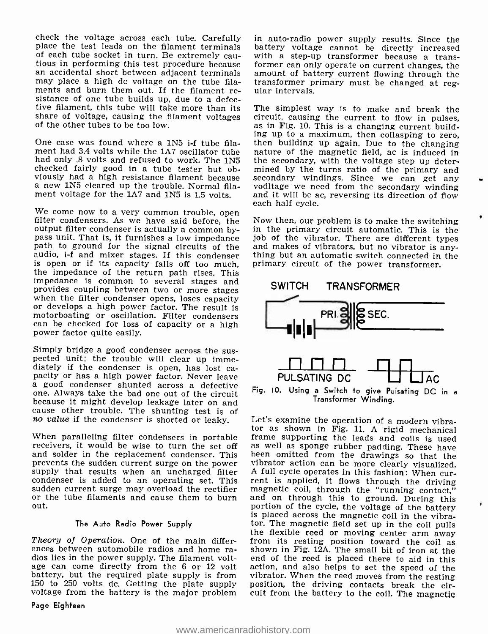check the voltage across each tube. Carefully in auto-radio power supply results. Since the place the test leads on the filament terminals battery voltage cannot be directly increased of each tube socket in turn. Be extrem tious in performing this test procedure because<br>an accidental short between adjacent terminals may place a high dc voltage on the tube filaments and burn them out. If the filament resistance of one tube builds up, due to a defective filament, this tube will take more than its The simplest way is to make and break the share of voltage, causing the filament voltages circuit, causing the current to flow in pulses, share of voltage, causing the filament voltages of the other tubes to be too low.

One case was found where a 1N5 i-f tube fila-One case was found where a 1N5 i-f tube fila-<br>ment had 3.4 volts while the 1A7 oscillator tube had only a magnetic field, ac is induced in<br>had only .8 volts and refused to work. The 1N5 the secondary, with the voltage step checked fairly good in a tube tester but obviously had a high resistance filament because a new 1N5 cleared up the trouble. Normal filaa new 1N5 cleared up the trouble. Normal fila-<br>ment voltage for the 1A7 and 1N5 is 1.5 volts. and it will be ac, reversing its direction of flow

We come now to a very common trouble, open  $\frac{1}{100}$  Now then, our problem is to make the switching output filter condenser is actually a common bypass unit. That is, it furnishes a low impedance job of the vibrator. There are different types<br>path to ground for the signal circuits of the and makes of vibrators, but no vibrator is any-<br>audio, i-f and mixer stages. If audio, i-f and mixer stages. If this condenser thing but an automatic switch connected in is open or if its capacity falls off too much, primary circuit of the power transformer. is open or if its capacity falls off too much, the impedance of the return path rises. This impedance is common to several stages and when the filter condenser opens, loses capacity or develops a high power factor. The result is motorboating or oscillation. Filter condensers can be checked for loss of capacity or a high power factor quite easily.

Simply bridge a good condenser across the sus- pected unit; the trouble will clear up immediately if the condenser is open, has lost ca-<br>pacity or has a high power factor. Never leave<br>a good condenser shunted across a defective<br>one. Always take the bad one out of the circuit<br>because it might develop leakage lat cause other trouble. The shunting test is of<br>
no value if the condenser is shorted or leaky. Let's examine the operation of a modern vibra-<br>
tor as shown in Fig. 11. A rigid mechanical

and solder in the replacement condenser. This been omitted from the drawings so that the prevents the sudden current surge on the power vibrator action can be more clearly visualized. supply that results when an uncharged filter  $A$  full cycle operates in this fashion: When cur-<br>condenser is added to an operating set. This rent is applied, it flows through the driving condenser is added to an operating set. This rent is applied, it flows through the driving sudden current surge may overload the rectifier magnetic coil, through the "running contact," sudden current surge may overload the rectifier out.

#### The Auto Radio Power Supply

Theory of Operation. One of the main differences between automobile radios and home radios lies in the power supply. The filament voltage can come directly from the 6 or 12 volt action, and also helps to set the speed of the battery, but the required plate supply is from vibrator. When the reed moves from the resting battery, but the required plate supply is from vibrator. When the reed moves from the resting 150 to 250 volts dc. Getting the plate supply position, the driving contacts break the cir-150 to 250 volts dc. Getting the plate supply voltage from the battery is the major problem

Page Eighteen

in auto-radio power supply results. Since the with a step-up transformer because a transformer can only operate on current changes, the amount of battery current flowing through the transformer primary must be changed at reg- ular intervals.

The simplest way is to make and break the as in Fig. 10. This is a changing current building up to a maximum, then collasping to zero, the secondary, with the voltage step up determined by the turns ratio of the primary and secondary windings. Since we can get any each half cycle.

in the primary circuit automatic. This is the and makes of vibrators, but no vibrator is any-



Fig. 10. Using a Switch to give Pulsating DC in <sup>a</sup>Transformer Winding.

When paralleling filter condensers in portable frame supporting the leads and coils is used receivers, it would be wise to turn the set off as well as sponge rubber padding. These have and solder in the replacement conden or the tube filaments and cause them to burn and on through this to ground. During this out. Let's examine the operation of a modern vibraas well as sponge rubber padding. These have and on through this to ground. During this is placed across the magnetic coil in the vibrator. The magnetic field set up in the coil pulls the flexible reed or moving center arm away from its resting position toward the coil as shown in Fig. 12A. The small bit of iron at the end of the reed is placed there to aid in this action, and also helps to set the speed of the cuit from the battery to the coil. The magnetic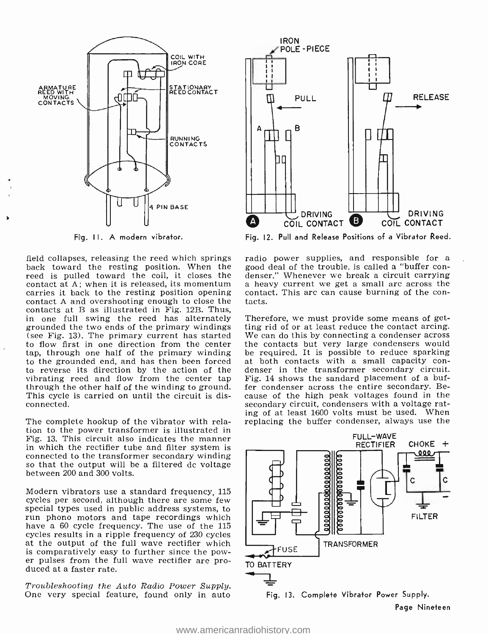

Fig. 11. A modern vibrator.

back toward the resting position. When the good deal of the trouble, is called a "buffer con-<br>reed is pulled toward the coil, it closes the denser," Whenever we break a circuit carrying reed is pulled toward the coil, it closes the contact at A; when it is released, its momentum carries it back to the resting position opening conta contact A and overshooting enough to close the tacts. contact A and overshooting enough to close the contacts at B as illustrated in Fig. 12B. Thus,<br>in one full swing the reed has alternately Therefore, we must provide some means of getin one full swing the reed has alternately Therefore, we must provide some means of get-<br>grounded the two ends of the primary windings ting rid of or at least reduce the contact arcing.<br>(see Fig. 13). The primary current h (see Fig. 13). The primary current has started to flow first in one direction from the center tap, through one half of the primary winding to the grounded end, and has then been forced at both contacts with a small capacity control to reverse its direction by the action of the denser in the transformer secondary circuit. to reverse its direction by the action of the vibrating reed and flow from the center tap through the other half of the winding to ground. This cycle is carried on until the circuit is disconnected.

The complete hookup of the vibrator with relation to the power transformer is illustrated in Fig. 13. This circuit also indicates the manner in which the rectifier tube and filter system is connected to the transformer secondary winding so that the output will be a filtered dc voltage between 200 and 300 volts.

Modern vibrators use a standard frequency, 115 cycles per second, although there are some few special types used in public address systems, to run phono motors and tape recordings which have a 60 cycle frequency. The use of the 115 cycles results in a ripple frequency of 230 cycles at the output of the full wave rectifier which is comparatively easy to further since the power pulses from the full wave rectifier are pro- duced at a faster rate.

Troubleshooting the Auto Radio Power Supply. One very special feature, found only in auto



Fig. 12. Pull and Release Positions of a Vibrator Reed.

field collapses, releasing the reed which springs radio power supplies, and responsible for a hack toward the resting position. When the good deal of the trouble, is called a "buffer cona heavy current we get a small arc across the contact. This arc can cause burning of the con-

> ting rid of or at least reduce the contact arcing. the contacts but very large condensers would be required. It is possible to reduce sparking at both contacts with a small capacity con-Fig. 14 shows the sandard placement of a buffer condenser across the entire secondary. Be- cause of the high peak voltages found in the secondary circuit, condensers with a voltage rating of at least 1600 volts must be used. When replacing the buffer condenser, always use the

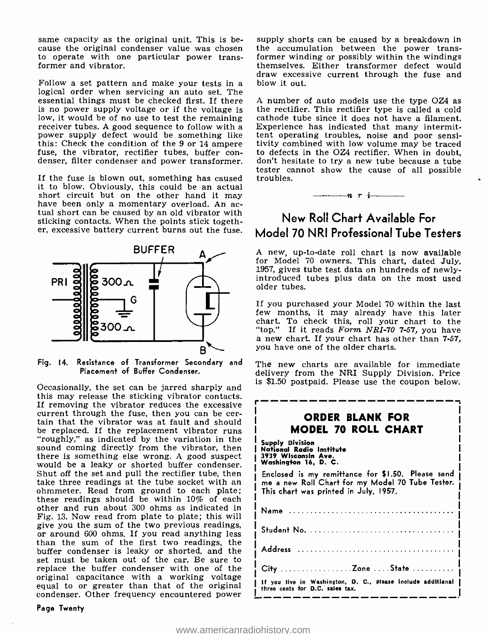same capacity as the original unit. This is be- cause the original condenser value was chosen to operate with one particular power transformer and vibrator.

Follow a set pattern and make your tests in a logical order when servicing an auto set. The essential things must be checked first. If there A number of auto models use the type OZ4 as is no power supply voltage or if the voltage is the rectifier. This rectifier type is called a cold is no power supply voltage or if the voltage is low, it would be of no use to test the remaining receiver tubes. A good sequence to follow with a power supply defect would be something like this: Check the condition of the 9 or 14 ampere ivity combined with low volume may be traced fuse, the vibrator, rectifier tubes, buffer con-<br>defects in the OZ4 rectifier. When in doubt, denser, filter condenser and power

If the fuse is blown out, something has caused troubles. it to blow. Obviously, this could be an actual short circuit but on the other hand it may have been only a momentary overload. An ac-<br>tual short can be caused by an old vibrator with sticking contacts. When the points stick together, excessive battery current burns out the fuse.



Fig. 14. Resistance of Transformer Secondary and Placement of Buffer Condenser.

Occasionally, the set can be jarred sharply and this may release the sticking vibrator contacts. If removing the vibrator reduces the excessive current through the fuse, then you can be cer- tain that the vibrator was at fault and should be replaced. If the replacement vibrator runs "roughly," as indicated by the variation in the sound coming directly from the vibrator, then there is something else wrong. A good suspect would be a leaky or shorted buffer condenser. Shut off the set and pull the rectifier tube, then take three readings at the tube socket with an ohmmeter. Read from ground to each plate; these readings should be within 10% of each other and run about 300 ohms as indicated in Fig. 13. Now read from plate to plate; this will give you the sum of the two previous readings, or around 600 ohms. If you read anything less than the sum of the first two readings, the buffer condenser is leaky or shorted, and the set must be taken out of the car. Be sure to replace the buffer condenser with one of the original capacitance with a working voltage equal to or greater than that of the original condenser. Other frequency encountered power

Page Twenty

supply shorts can be caused by a breakdown in the accumulation between the power transformer winding or possibly within the windings themselves. Either transformer defect would draw excessive current through the fuse and blow it out.

A number of auto models use the type OZ4 as cathode tube since it does not have a filament. Experience has indicated that many intermittent operating troubles, noise and poor sensitivity combined with low volume may be traced to defects in the OZ4 rectifier. When in doubt, tester cannot show the cause of all possible

n r i

## New Roll Chart Available For Model 70 NRI Professional Tube Testers

A new, up-to-date roll chart is now available for Model 70 owners. This chart, dated July, 1957, gives tube test data on hundreds of newly - introduced tubes plus data on the most used older tubes.

If you purchased your Model 70 within the last few months, it may already have this later chart. To check this, roll your chart to the "top." If it reads Form NRI-70 7-57, you have<br>a new chart. If your chart has other than 7-57, you have one of the older charts.

The new charts are available for immediate delivery from the NRI Supply Division. Price is \$1.50 postpaid. Please use the coupon below.

| ORDER BLANK FOR<br>MODEL 70 ROLL CHART                                                                                                         |
|------------------------------------------------------------------------------------------------------------------------------------------------|
| Supply Division<br>National Radio Institute<br>3939 Wisconsin Ave.<br>Washington 16, D. C.                                                     |
| Enclosed is my remittance for \$1.50. Please send<br>me a new Roll Chart for my Model 70 Tube Tester.<br>This chart was printed in July, 1957. |
|                                                                                                                                                |
| Student No. $\ldots \ldots \ldots \ldots \ldots \ldots \ldots \ldots \ldots \ldots$                                                            |
|                                                                                                                                                |
| City Zone State                                                                                                                                |
| If you live in Washington, D. C., please include additional<br>three cents for D.C. sales tax.                                                 |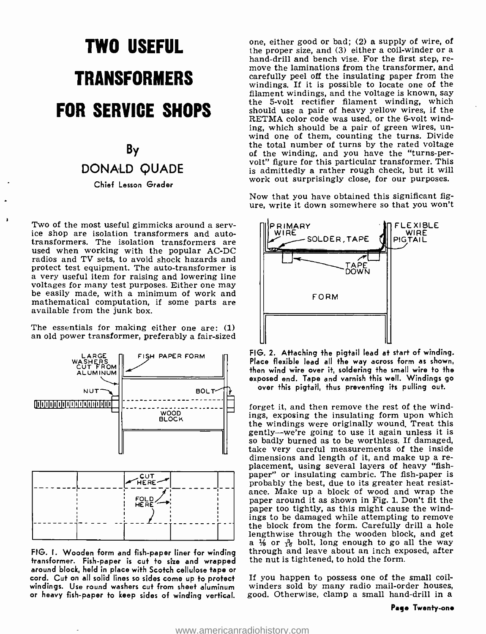# TWO USEFUL **TRANSFORMERS** FOR SERVICE SHOPS

## By DONALD QUADE Chief Lesson Grader

Two of the most useful gimmicks around a serv-<br>ice shop are isolation transformers and auto-<br>transformers. The isolation transformers are used when working with the popular AC-DC radios and TV sets, to avoid shock hazards and protect test equipment. The auto -transformer is a very useful item for raising and lowering line voltages for many test purposes. Either one may be easily made, with a minimum of work and mathematical computation, if some parts are available from the junk box.

The essentials for making either one are: (1) an old power transformer, preferably a fair -sized



transformer. Fish -paper is cut to size and wrapped around block, held in place with Scotch cellulose tape or windings. Use round washers cut from sheet aluminum or heavy fish-paper to keep sides of winding vertical.

one, either good or bad; (2) a supply of wire, of the proper size, and (3) either a coil-winder or a hand-drill and bench vise. For the first step, remove the laminations from the transformer, and carefully peel off the insulating paper from the windings. If it is possible to locate one of the the 5-volt rectifier filament winding, which should use a pair of heavy yellow wires, if the RETMA color code was used, or the 6-volt wind-<br>ing, which should be a pair of green wires, unwind one of them, counting the turns. Divide the total number of turns by the rated voltage of the winding, and you have the "turns-pervolt" figure for this particular transformer. This is admittedly a rather rough check, but it will work out surprisingly close, for our purposes.

Now that you have obtained this significant figure, write it down somewhere so that you won't



FIG. 2. Attaching the pigtail lead at start of winding. Place flexible lead all the way across form as shown, then wind wire over it, soldering the small wire to the exposed end. Tape and varnish this well. Windings go over this pigtail, thus preventing its pulling out.

FIG. I. Wooden form and fish-paper liner for winding through and leave about an inch exposed, after forget it, and then remove the rest of the windings, exposing the insulating form upon which the windings were originally wound. Treat this gently -we're going to use it again unless it is so badly burned as to be worthless. If damaged, take very careful measurements of the inside dimensions and length of it, and make up a re-<br>placement, using several layers of heavy "fish-<br>paper" or insulating cambric. The fish-paper is<br>probably the best, due to its greater heat resistance. Make up a block of wood and wrap the paper around it as shown in Fig. 1. Don't fit the paper too tightly, as this might cause the wind-<br>ings to be damaged while attempting to remove the block from the form. Carefully drill a hole lengthwise through the wooden block, and get a 1/<sub>8</sub> or  $\frac{3}{16}$  bolt, long enough to go all the way the nut is tightened, to hold the form.

> If you happen to possess one of the small coil - winders sold by many radio mail -order houses, good. Otherwise, clamp a small hand -drill in a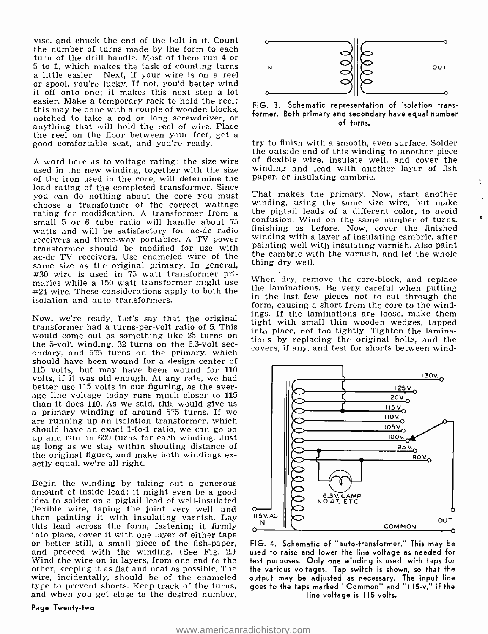vise, and chuck the end of the bolt in it. Count the number of turns made by the form to each turn of the drill handle. Most of them run 4 or 5 to 1, which makes the task of counting turns a little easier. Next, if your wire is on a reel or spool, you're lucky. If not, you'd better wind it off onto one; it makes this next step a lot easier. Make a temporary rack to hold the reel; this may be done with a couple of wooden blocks, notched to take a rod or long screwdriver, or anything that will hold the reel of wire. Place the reel on the floor between your feet, get a good comfortable seat, and you're ready.

A word here as to voltage rating: the size wire used in the new winding, together with the size of the iron used in the core, will determine the load rating of the completed transformer. Since you can do nothing about the core you must<br>choose a transformer of the correct wattage rating for modification. A transformer from a the pigtail leads of a different color, to avoid small 5 or 6 tube radio will handle about 75 confusion. Wind on the same number of turns, watts and will be satisfactory for ac-dc radio receivers and three-way portables. A TV power<br>transformer should be modified for use with action of the cambric with insulating varnish. Also paint<br>ac-dc TV receivers. Use enameled wire of the same size as the original pr maries while a 150 watt transformer might use when dry, remove the core-block, and replace  $\#24$  wire. These considerations apply to both the the laminations. Be very careful when putting isolation and auto transformers.

Now, we're ready. Let's say that the original transformer had a turns-per-volt ratio of 5. This tight with small thin wooden wedges, tapped transformer had a turns-per-volt ratio of 5. This inter-place not too tightly Tigh would come out as something like 25 turns on the 5-volt winding, 32 turns on the 6.3-volt secondary, and 575 turns on the primary, which should have been wound for a design center of 115 volts, but may have been wound for 110 volts, if it was old enough. At any rate, we had better use 115 volts in our figuring, as the aver-<br>age line voltage today runs much closer to 115<br>than it does 110. As we said, this would give us a primary winding of around 575 turns. If we are running up an isolation transformer, which should have an exact 1-to-1 ratio, we can go on up and run on 600 turns for each winding. Just as long as we stay within shouting distance of the original figure, and make both windings ex- actly equal, we're all right.

Begin the winding by taking out a generous amount of inside lead: it might even be a good idea to solder on a pigtail lead of well -insulated flexible wire, taping the joint very well, and then painting it with insulating varnish. Lay<br>this lead across the form, fastening it firmly<br>into place, cover it with one layer of either tape<br>or better still, a small piece of the fish-paper,<br>and proceed with the winding Wind the wire on in layers, from one end to the other, keeping it as flat and neat as possible. The wire, incidentally, should be of the enameled type to prevent shorts. Keep track of the turns, and when you get close to the desired number,





FIG. 3. Schematic representation of isolation transformer. Both primary and secondary have equal number of turns.

try to finish with a smooth, even surface. Solder the outside end of this winding to another piece of flexible wire, insulate well, and cover the winding and lead with another layer of fish paper, or insulating cambric.

That makes the primary. Now, start another winding, using the same size wire, but make the pigtail leads of a different color, to avoid finishing as before. Now, cover the finished winding with a layer of insulating cambric, after painting well with insulating varnish. Also paint thing dry well.

When dry, remove the core-block, and replace in the last few pieces not to cut through the form, causing a short from the core to the windings. If the laminations are loose, make them into place, not too tightly. Tighten the laminations by replacing the original bolts, and the covers, if any, and test for shorts between wind-



FIG. 4. Schematic of "auto- transformer." This may be used to raise and lower the line voltage as needed for test purposes. Only one winding is used, with taps for the various voltages. Tap switch is shown, so that the output may be adjusted as necessary. The input line goes to the taps marked "Common" and "I 15 -v," if the line voltage is 115 volts.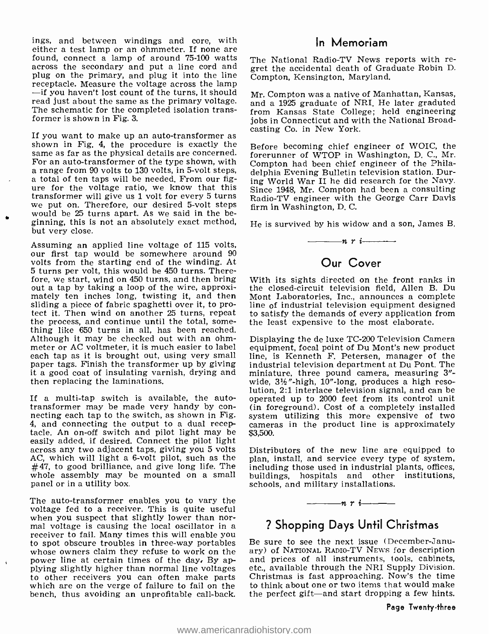ings, and between windings and core, with either a test lamp or an ohmmeter. If none are<br>found, connect a lamp of around 75-100 watts are National Radio-TV News reports with re-<br>across the secondary and put a line cord and gret the accidental death of Graduate Rob plug on the primary, and plug it into the line receptacle. Measure the voltage across the lamp<br>-if you haven't lost count of the turns, it should read just about the same as the primary voltage. The schematic for the completed isolation transformer is shown in Fig. 3.

If you want to make up an auto -transformer as shown in Fig. 4, the procedure is exactly the same as far as the physical details are concerned. For an auto -transformer of the type shown, with a range from 90 volts to 130 volts, in 5 -volt steps, a total of ten taps will be needed. From our figure for the voltage ratio, we know that this transformer will give us 1 volt for every 5 turns we put on. Therefore, our desired 5 -volt steps would be 25 turns apart. As we said in the beginning, this is not an absolutely exact method, but very close.

Assuming an applied line voltage of 115 volts, our first tap would be somewhere around <sup>90</sup> volts from the starting end of the winding. At 5 turns per volt, this would be 450 turns. Thereout a tap by taking a loop of the wire, approxi-<br>mately ten inches long, twisting it, and then Mont Laboratories, Inc., announces a complete sliding a piece of fabric spaghetti over it, to protect it. Then wind on another 25 turns, repeat the process, and continue until the total, some- thing like 650 turns in all, has been reached. Although it may be checked out with an ohmmeter or AC voltmeter, it is much easier to label each tap as it is brought out, using very small paper tags. Finish the transformer up by giving it a good coat of insulating varnish, drying and then replacing the laminations.

4, and connecting the output to a dual recep- tacle. An on -off switch and pilot light may be easily added, if desired. Connect the pilot light across any two adjacent taps, giving you 5 volts AC, which will light a 6-volt pilot, such as the  $\theta$  plan, install, and service every type of system,  $#47$ , to good brilliance, and give long life. The whole assembly may be mounted on a small panel or in a utility box.

The auto-transformer enables you to vary the voltage fed to a receiver. This is quite useful when you suspect that slightly lower than nor-<br>mal voltage is causing the local oscillator in a<br>receiver to fail. Many times this will enable you<br>to spot obscure troubles in three-way portables whose owners claim they refuse to work on the power line at certain times of the day, By ap-<br>plying slightly higher than normal line voltages to other receivers you can often make parts which are on the verge of failure to fail on the bench, thus avoiding an unprofitable call-back.

#### In Memoriam

The National Radio-TV News reports with re-Compton, Kensington, Maryland.

Mr. Compton was a native of Manhattan, Kansas, and a 1925 graduate of NRI. He later graduted from Kansas State College; held engineering jobs in Connecticut and with the National Broadcasting Co. in New York.

Before becoming chief engineer of WOIC, the forerunner of WTOP in Washington, D. C., Mr. Compton had been chief engineer of the Philadelphia Evening Bulletin television station. During World War II he did research for the Navy. Since 1948, Mr. Compton had been a consulting Radio -TV engineer with the George Carr Davis firm in Washington, D. C.

He is survived by his widow and a son, James B.  $\frac{1}{\sqrt{n}}$   $\frac{n}{i}$ 

## Our Cover

With its sights directed on the front ranks in the closed- circuit television field, Allen B. Du line of industrial television equipment designed to satisfy the demands of every application from the least expensive to the most elaborate.

If a multi-tap switch is available, the auto-<br>transformer may be made very handy by con-<br>necting each tap to the switch, as shown in Fig. system utilizing this anone expensive of two<br>4, and connecting the output to a dual Displaying the de luxe TC -200 Television Camera equipment, focal point of Du Mont's new product line, is Kenneth F. Petersen, manager of the industrial television department at Du Pont. The miniature, three pound camera, measuring 3"wide,  $3\frac{1}{2}$ "-high,  $10$ "-long, produces a high resooperated up to 2000 feet from its control unit (in foreground). Cost of a completely installed system utilizing this more expensive of two \$3,500.

> Distributors of the new line are equipped to including those used in industrial plants, offices, buildings, hospitals and other institutions, schools, and military installations.



### ? Shopping Days Until Christmas

Be sure to see the next issue (December -January) of NATIONAL RADIO-TV NEWS for description and prices of all instruments, tools, cabinets, etc., available through the NRI Supply Division. Christmas is fast approaching. Now's the time to think about one or two items that would make the perfect gift-and start dropping a few hints.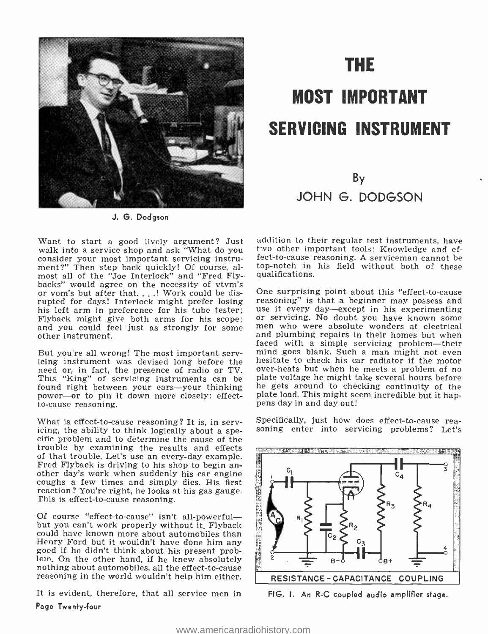

J. G. Dodgson

Want to start a good lively argument? Just<br>walk into a service shop and ask "What do you consider your most important servicing instrument?" Then step back quickly! Of course, al-<br>most all of the "Joe Interlock" and "Fred Flybacks" would agree on the necessity of vtvm's or vom's but after that...! Work could be disrupted for days! Interlock might prefer losing reasoning" is that a beginner may possess and<br>his left arm in preference for his tube tester; use it every day—except in his experimenting<br>Flyback might give both arms for his and you could feel just as strongly for some other instrument.

But you're all wrong! The most important serv-<br>icing instrument was devised long before the hesitate to check his car radiator if the motor<br>need or, in fact, the presence of radio or TV over-heats but when he meets a probl need or, in fact, the presence of radio or TV. Over-heats but when he meets a problem of no<br>This "King" of servicing instruments can be plate voltage he might take several hours before This "King" of servicing instruments can be found right between your ears-your thinking power-or to pin it down more closely: effect-<br>to-cause reasoning.

What is effect-to-cause reasoning? It is, in serv-<br>icing, the ability to think logically about a spe-<br>cific problem and to determine the cause of the<br>cific problem and to determine the cause of the trouble by examining the results and effects of that trouble. Let's use an every -day example. Fred Flyback is driving to his shop to begin an- other day's work when suddenly his car engine coughs a few times and simply dies. His first reaction? You're right, he looks at his gas gauge. This is effect -to -cause reasoning.

Of course "effect-to-cause" isn't all-powerful—<br>but you can't work properly without it. Flyback<br>could have known more about automobiles than Henry Ford but it wouldn't have done him any<br>goed if he didn't think about his present prob-<br>lem, On the other hand, if he knew absolutely<br>mothing about automobiles, all the effect-to-cause<br>reasoning in the world wouldn't

It is evident, therefore, that all service men in

#### Page Twenty -four

# THE MOST IMPORTANT SERVICING INSTRUMENT

## By JOHN G. DODGSON

addition to their regular test instruments, have two other important tools: Knowledge and effect -to -cause reasoning. A serviceman cannot be top -notch in his field without both of these qualifications.

One surprising point about this "effect-to-cause<br>reasoning" is that a beginner may possess and<br>use it every day—except in his experimenting<br>or servicing. No doubt you have known some<br>men who were absolute wonders at electr and plumbing repairs in their homes but when faced with a simple servicing problem-their mind goes blank. Such a man might not even he gets around to checking continuity of the plate load. This might seem incredible but it happens day in and day out!

Specifically, just how does effect-to-cause rea-



FIG. I. An R-C coupled audio amplifier stage.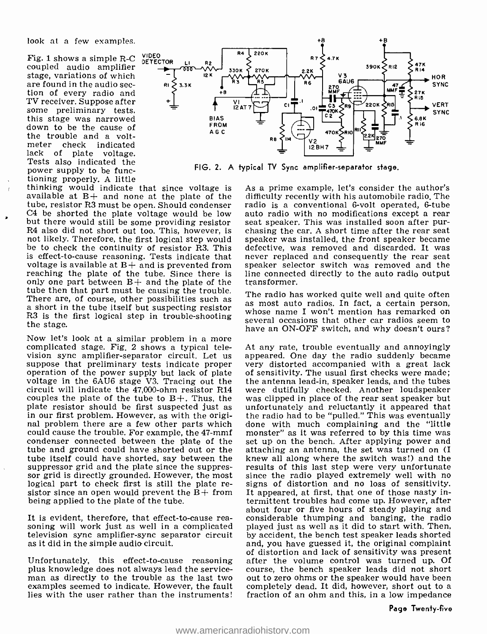Fig. 1 shows a simple R-C  $\frac{VIDEO}{DETECTOR}$  coupled audio amplifier stage, variations of which<br>are found in the audio section of every radio and<br>TV receiver, Suppose after some preliminary tests,<br>this stage was narrowed down to be the cause of the trouble and a volt-<br>meter check indicated meter check lack of plate voltage. Tests also indicated the power supply to be functioning properly. A little

thinking would indicate that since voltage is available at  $B+$  and none at the plate of the tube, resistor R3 must be open. Should condenser C4 be shorted the plate voltage would be low but there would still be some providing resistor seat speaker. This was installed soon after pur-<br>R4 also did not short out too. This, however, is chasing the car. A short time after the rear seat R4 also did not short out too. This, however, is not likely. Therefore, the first logical step would speaker was installed, the front speaker became be to check the continuity of resistor R3. This defective, was removed and discarded. It was be to check the continuity of resistor R3. This is effect-to-cause reasoning. Tests indicate that voltage is available at  $B+$  and is prevented from reaching the plate of the tube. Since there is line connected only one part between  $B+$  and the plate of the transformer. only one part between  $B+$  and the plate of the tube then that part must be causing the trouble. The radio has worked quite well and quite often There are, of course, other possibilities such as  $\frac{1}{10}$  as most auto radios. In fact, a certain person, is a smooth in the tube itself but suspecting resistor  $\frac{1}{10}$  and  $\frac{1}{10}$  and  $\frac{1}{10}$  and  $\frac{1}{10}$  a R3 is the first logical step in trouble-shooting the stage.

Now let's look at a similar problem in a more complicated stage. Fig. 2 shows a typical telecomplicated stage. Fig. 2 shows a typical tele-<br>at any rate, trouble eventually and annoyingly<br>vision sync amplifier-separator circuit. Let us appeared. One day the radio suddenly became<br>suppose that preliminary tests indi circuit will indicate the 47,000-ohm resistor R14 were dutifully checked. Another loudspeaker couples the plate of the tube to  $B+$ . Thus, the was clipped in place of the rear seat speaker but couples the plate of the tube to  $B+$ . Thus, the plate resistor should be first suspected just as unfortunately and reluctantly it appeared that<br>in our first problem. However, as with the origi-<br>nal problem there are a few other parts which done with much complaining and could cause the trouble. For example, the 47-mmf monster" as it was referred to by this time was condenser connected between the plate of the set up on the bench. After applying power and condenser connected between the plate of the set up on the bench. After applying power and tube and ground could have shorted out or the attaching an antenna, the set was turned on (I tube and ground could have shorted out or the tube itself could have shorted, say between the suppressor grid and the plate since the suppres-<br>sults of this last step were very unfortunate<br>sor grid is directly grounded. However, the most<br>line the radio played extremely well with no<br>logical part to check first is st logical part to check first is still the plate re- signs of distortion and no loss of sensitivity.<br>sistor since an open would prevent the  $B+$  from It appeared, at first, that one of those nasty inbeing applied to the plate of the tube.

It is evident, therefore, that effect-to-cause rea-<br>soning will work just as well in a complicated<br>television sync amplifier-sync separator circuit<br>as it did in the simple audio circuit.

Unfortunately, this effect-to-cause reasoning after the volume control was turned up. Of plus knowledge does not always lead the service- course, the bench speaker leads did not short man as directly to the trouble as the examples seemed to indicate. However, the fault lies with the user rather than the instruments!



FIG. 2. A Typical TV Sync amplifier- separator stage.

As a prime example, let's consider the author's difficulty recently with his automobile radio. The radio is a conventional 6-volt operated, 6-tube auto radio with no modifications except a rear seat speaker. This was installed soon after purspeaker was installed, the front speaker became never replaced and consequently the rear seat speaker selector switch was removed and the line connected directly to the auto radio output

as most auto radios. In fact, a certain person, whose name I won't mention has remarked on several occasions that other car radios seem to have an ON-OFF switch, and why doesn't ours?

appeared. One day the radio suddenly became very distorted accompanied with a great lack of sensitivity. The usual first checks were made; the antenna lead-in, speaker leads, and the tubes were dutifully checked. Another loudspeaker unfortunately and reluctantly it appeared that the radio had to be "pulled." This was eventually monster" as it was referred to by this time was knew all along where the switch was!) and the results of this last step were very unfortunate since the radio played extremely well with no termittent troubles had come up. However, after about four or five hours of steady playing and considerable thumping and banging, the radio played just as well as it did to start with. Then, by accident, the bench test speaker leads shorted and, you have guessed it, the original complaint of distortion and lack of sensitivity was present course, the bench speaker leads did not short out to zero ohms or the speaker would have been fraction of an ohm and this, in a low impedance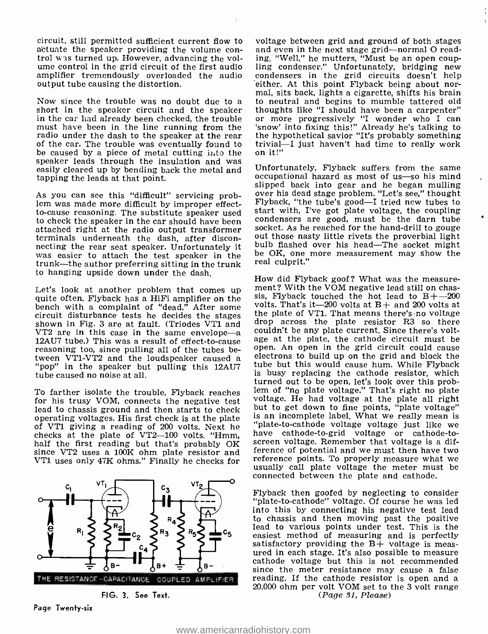circuit, still permitted sufficient current flow to voltage between grid and ground of both stages actuate the speaker providing the volume con-<br>and even in the next stage grid—normal O readtrol was turned up. However, advancing the vol-<br>ume control in the grid circuit of the first audio ling condenser." Unfortunately, bridging new<br>amplifier tremendously overloaded the audio condensers in the grid circuits do amplifier tremendously overloaded the audio condensers in the grid circuits doesn't help output tube causing the distortion. output tube causing the distortion.

Now since the trouble was no doubt due to a short in the speaker circuit and the speaker thoughts like "I should have been a carpenter" in the car liad already been checked, the trouble sor more progressively "I wonder who must have been in the line running from the radio under the dash to the speaker at the rear the hypothetical savior "It's probably something<br>of the car. The trouble was eventually found to trivial—I just haven't had time to really work of the car. The trouble was eventually found to trivial-<br>be caused by a piece of metal cutting into the on it!" be caused by a piece of metal cutting into the speaker leads through the insulation and was easily cleared up by bending back the metal and Unfortunately, Flyback suffers from the same<br>coupational hazard as most of us—so his mind<br>coupational hazard as most of us—so his mind tapping the leads at that point.

As you can see this "difficult" servicing prob-<br>lem was made more difficult by improper effect-<br>to-cause reasoning. The substitute speaker used start with, I've got plate voltage, the coupling to check the speaker in the car should have been scondensers are good, must be the darn tube<br>attached right at the radio output transformer socket. As he reached for the hand-drill to gouge attached right at the radio output transformer terminals underneath the dash, after disconnecting the rear seat speaker. Unfortunately it bulb flashed over his head—The socket might<br>was easier to attach the test speaker in the be OK, one more measurement may show the trunk—the author preferring sitting in the trunk to hanging upside down under the dash.

Let's look at another problem that comes up quite often. Flyback has a HiFi amplifier on the bench with a complaint of "dead." After some volts. That's it—200 volts at B+ and 200 volts at circuit disturbance tests he decides the stages shown in Fig. 3 are at fault. (Triodes VT1 and drop across the plate resistor  $VT2$  are in this case in the same envelope—a 12AU7 tube.) This was a result of effect-to-cause reasoning too, since pulling all of the tubes be-<br>tween VT1-VT2 and the loudspeaker caused a "pop" in the speaker but pulling this 12AU7 tube caused no noise at all.

To farther isolate the trouble, Flyback reaches all the of "no plate voltage." That's right no plate<br>for his trusy VOM, connects the negative test are voltage. He had voltage at the plate all right for his trusy VOM, connects the negative test voltage. He had voltage at the plate all right<br>lead to chassis ground and then starts to check but to get down to fine points, "plate voltage" lead to chassis ground and then starts to check operating voltages. His first check is at the plate of VT1 giving a reading of 200 volts. Next he checks at the plate of VT2-100 volts. "Hmm, half the first reading but that's probably OK half the first reading but that's probably  $\overline{OR}$  screen voltage. Remember that voltage is a dif-<br>since VT2 uses a 100K ohm plate resistor and ference of potential and we must then have two<br>VT1 uses only 47K ohms." Fina VT1 uses only 47K ohms." Finally he checks for



FIG. 3. See Text.

and even in the next stage grid-normal O readling condenser." Unfortunately, bridging new<br>condensers in the grid circuits doesn't help<br>either. At this point Flyback being about nor-<br>mal, sits back, lights a cigarette, shifts his brain to neutral and begins to mumble tattered old thoughts like "I should have been a carpenter" or more progressively "I wonder who I can 'snow' into fixing this!" Already he's talking to the hypothetical savior "It's probably something"

Unfortunately, Flyback suffers from the same occupational hazard as most of us—so his mind slipped back into gear and he began mulling over his dead stage problem. "Let's see," thought condensers are good, must be the darn tube out those nasty little rivets the proverbial light real culprit."

How did Flyback goof? What was the measurement? With the VOM negative lead still on chassis, Flyback touched the hot lead to  $B + -200$ volts. That's it  $-200$  volts at B  $+$  and 200 volts at the plate of VT1. That means there's no voltage couldn't be any plate current. Since there's voltage at the plate, the cathode circuit must be open. An open in the grid circuit could cause electrons to build up on the grid and block the tube but this would cause hum. While Flyback is busy replacing the cathode resistor, which<br>turned out to be open, let's look over this problem of "no plate voltage." That's right no plate is an incomplete label. What we really mean is "plate -to- cathode voltage voltage just like we have cathode -to -grid voltage or cathode -to- screen voltage. Remember that voltage is a difference of potential and we must then have two usually call plate voltage the meter must be connected between the plate and cathode.

THE RESISTANCE-CAPACITANCE COUPLED AMPLIFIER reading. If the cathode resistor is open and a<br>20,000 ohm per volt VOM set to the 3 volt range Flyback then goofed by neglecting to consider "plate-to-cathode" voltage. Of course he was led into this by connecting his negative test lead<br>to chassis and then moving past the positive lead to various points under test. This is the easiest method of measuring and is perfectly satisfactory providing the B+ voltage is measured in each stage. It's also possible to measure cathode voltage but this is not recommended since the meter resistance may cause a false reading. If the cathode resistor is open and a 20,000 ohm per volt VOM set to the 3 volt range (*Page 31, Please*)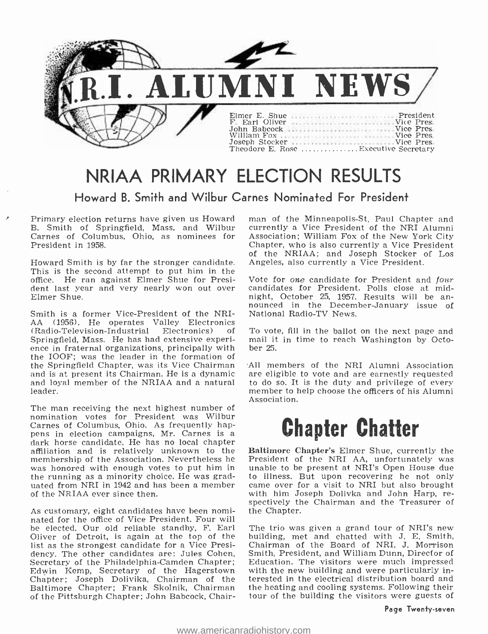

## NRIAA PRIMARY ELECTION RESULTS

#### Howard B. Smith and Wilbur Carnes Nominated For President

Primary election returns have given us Howard B. Smith of Springfield, Mass. and Wilbur currently a Vice President of the NRI Alumni<br>Carnes of Columbus. Ohio, as nominees for Association: William Fox of the New York City Carnes of Columbus, Ohio, as nominees for President in 1958.

Howard Smith is by far the stronger candidate. This is the second attempt to put him in the office. He ran against Elmer Shue for President last year and very nearly won out over Elmer Shue.

Smith is a former Vice-President of the NRI-<br>AA (1956). He operates Valley Electronics<br>(Radio-Television-Industrial Electronics) of (Radio-Television-Industrial Electronics) Springfield, Mass. He has had extensive experi- ence in fraternal organizations, principally with the IOOF; was the leader in the formation of the Springfield Chapter, was its Vice Chairman All members of the NRI Alumni Association<br>and is at present its Chairman. He is a dynamic are eligible to vote and are earnestly requested and is at present its Chairman. He is a dynamic are eligible to vote and are earnestly requested<br>and loyal member of the NRIAA and a natural to do so. It is the duty and privilege of every leader.

The man receiving the next highest number of nomination votes for President was Wilbur Carnes of Columbus, Ohio. As frequently happens in election campaigns, Mr. Carnes is a dark horse candidate. He has no local chapter affiliation and is relatively unknown to the membership of the Association. Nevertheless he President of the NRI AA, unfortunately was was honored with enough votes to put him in unable to be present at NRI's Open House due the running as a minority choice. He was gr the running as a minority choice. He was grad-<br>uated from NRI in 1942 and has been a member came over for a visit to NRI but also brought<br>of the NRIAA ever since then.<br>with him Joseph Dolivka and John Harp, reof the NRIAA ever since then.

As customary, eight candidates have been nominated for the office of Vice President. Four will<br>be elected. Our old reliable standby, F. Earl – The trio was given a grand tour of NRI's new be elected. Our old reliable standby, F. Earl Oliver of Detroit, is again at the top of the list as the strongest candidate for a Vice Presidency. The other candidates are: Jules Cohen,<br>Secretary of the Philadelphia-Camden Chapter; Secretary of the Philadelphia-Camden Chapter; Ed<br>Edwin Kemp, Secretary of the Hagerstown wit<br>Chapter; Joseph Dolivika, Chairman of the ter<br>Baltimore Chapter; Frank Skolnik, Chairman the of the Pittsburgh Chapter; John Babcock, Chair-

man of the Minneapolis-St. Paul Chapter and currently a Vice President of the NRI Alumni Chapter, who is also currently a Vice President of the NRIAA; and Joseph Stocker of Los Angeles, also currently a Vice President.

Vote for one candidate for President and four candidates for President. Polls close at midnounced in the December-January issue of National Radio-TV News.

To vote, fill in the ballot on the next page and mail it in time to reach Washington by October 25.

All members of the NRI Alumni Association member to help choose the officers of his Alumni Association.

## Chapter Chatter

Baltimore Chapter's Elmer Shue, currently the President of the NRI AA, unfortunately was spectively the Chairman and the Treasurer of the Chapter.

The trio was given a grand tour of NRI's new building, met and chatted with J. E. Smith, Chairman of the Board of NRI, J. Morrison Smith, President, and William Dunn, Director of Education. The visitors were much impressed with the new building and were particularly interested in the electrical distribution board and the heating and cooling systems. Following their tour of the building the visitors were guests of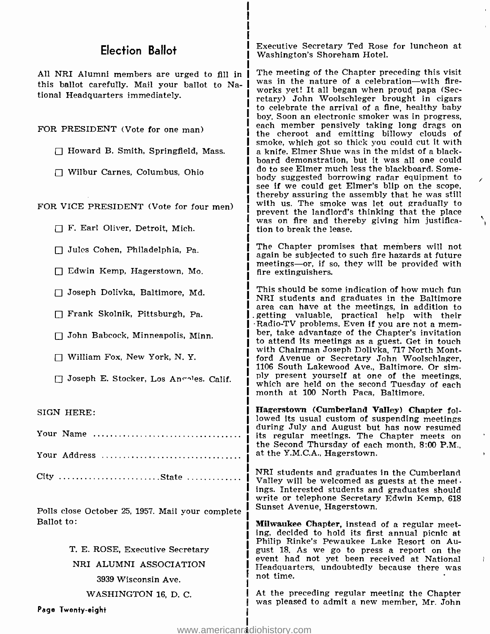#### Election Ballot

this ballot carefully. Mail your ballot to National Headquarters immediately.

FOR PRESIDENT (Vote for one man)

- $\Box$  Howard B. Smith, Springfield, Mass.
- Wilbur Carnes, Columbus, Ohio

F. Earl Oliver, Detroit, Mich.

 $\Box$  Jules Cohen, Philadelphia, Pa.

Edwin Kemp, Hagerstown, Mo.

Joseph Dolivka, Baltimore, Md.

Frank Skolnik, Pittsburgh, Pa.

 $\Box$  John Babcock, Minneapolis, Minn.

William Fox, New York, N. Y.

 $\Box$  Joseph E. Stocker, Los An $\Box$  Calif.

SIGN HERE:

| Your Address |  |  |  |  |  |  |  |  |  |  |  |  |  |  |  |
|--------------|--|--|--|--|--|--|--|--|--|--|--|--|--|--|--|

City State

Polls close October 25, 1957. Mail your complete Ballot to:

> T. E. ROSE, Executive Secretary NRI ALUMNI ASSOCIATION 3939 Wisconsin Ave.

WASHINGTON 16, D. C.

Executive Secretary Ted Rose for luncheon at Washington's Shoreham Hotel.

All NRI Alumni members are urged to fill in  $\overline{I}$  The meeting of the Chapter preceding this visit FOR VICE PRESIDENT (Vote for four men) i with us. The smoke was let out gradually to<br>prevent the landlord's thinking that the place was in the nature of a celebration-with fireworks yet! It all began when proud papa (Secretary) John Woolschleger brought in cigars to celebrate the arrival of a fine, healthy baby boy. Soon an electronic smoker was in progress, the cheroot and emitting billowy clouds of smoke, which got so thick you could cut it with a knife. Elmer Shue was in the midst of a blackboard demonstration, but it was all one could do to see Elmer much less the blackboard. Some-<br>body suggested borrowing radar equipment to see if we could get Elmer's blip on the scope, thereby assuring the assembly that he was still with us. The smoke was let out gradually to was on fire and thereby giving him justifica-<br>tion to break the lease.

> The Chapter promises that members will not again be subjected to such fire hazards at future meetings-or, if so, they will be provided with fire extinguishers.

> This should be some indication of how much fun NRI students and graduates in the Baltimore area can have at the meetings, in addition to getting valuable, practical help with their Radio -TV problems. Even if you are not a mem- ber, take advantage of the Chapter's invitation to attend its meetings as a guest. Get in touch ford Avenue or Secretary John Woolschlager, 1106 South Lakewood Ave., Baltimore. Or simply present yourself at one of the meetings, which are held on the second Tuesday of each month at 100 North Paca, Baltimore.

> Hagerstown (Cumberland Valley) Chapter followed its usual custom of suspending meetings during July and August but has now resumed its regular meetings. The Chapter meets on the Second Thursday of each month, 8:00 P.M., at the Y.M.C.A., Hagerstown.

> NRI students and graduates in the Cumberland Valley will be welcomed as guests at the meetings. Interested students and graduates should write or telephone Secretary Edwin Kemp, 618 Sunset Avenue, Hagerstown.

Milwaukee Chapter, instead of a regular meeting, decided to hold its first annual picnic at Philip Rinke's Pewaukee Lake Resort on August 18. As we go to press a report on the event had not yet been received at National Headquarters, undoubtedly because there was not time.

At the preceding regular meeting the Chapter was pleased to admit a new member, Mr. John

Page Twenty -eight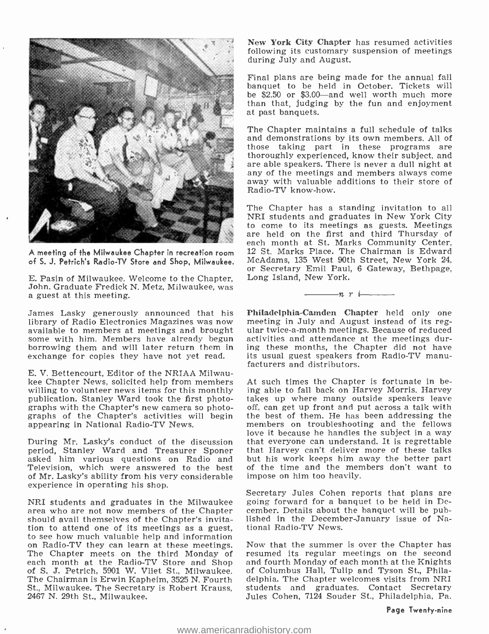

A meeting of the Milwaukee Chapter in recreation room

E. Pasin of Milwaukee. Welcome to the Chapter, John. Graduate Fredick N. Metz, Milwaukee, was a guest at this meeting.

available to members at meetings and brought some with him. Members have already begun borrowing them and will later return them in exchange for copies they have not yet read. its usual guest speakers for copies they have not yet read. its usual guest speakers for

E. V. Bettencourt, Editor of the NRIAA Milwaukee Chapter News, solicited help from members publication. Stanley Ward took the first photographs with the Chapter's new camera so photographs of the Chapter's activities will begin appearing in National Radio-TV News.

period, Stanley Ward and Treasurer Sponer asked him various questions on Radio and Television, which were answered to the best of Mr. Lasky's ability from his very considerable experience in operating his shop.

NRI students and graduates in the Milwaukee should avail themselves of the Chapter's invitation to attend one of its meetings as a guest,<br>to see how much valuable help and information on Radio-TV they can learn at these meetings.<br>The Chapter meets on the third Monday of each month at the Radio -TV Store and Shop of S. J. Petrich, 5901 W. Vliet St., Milwaukee. The Chairman is Erwin Kapheim, 3525 N. Fourth St., Milwaukee. The Secretary is Robert Krauss, 2467 N. 29th St., Milwaukee.

New York CIty Chapter has resumed activities following its customary suspension of meetings<br>during July and August.

Final plans are being made for the annual fall banquet to be held in October. Tickets will be \$2.50 or \$3.00—and well worth much more<br>than that, judging by the fun and enjoyment at past banquets.

The Chapter maintains a full schedule of talks and demonstrations by its own members. All of those taking part in these programs are<br>thoroughly\_experienced, know their\_subject, and are able speakers. There is never a dull night at any of the meetings and members always come away with valuable additions to their store of Radio -TV know -how.

of S. J. Petrich's Radio-TV Store and Shop, Milwaukee. McAdams, 135 West 90th Street, New York 24,<br>or Secretary Emil Paul, 6 Gateway, Bethpage, The Chapter has a standing invitation to all NRI students and graduates in New York City to come to its meetings as guests. Meetings are held on the first and third Thursday of each month at St. Marks Community Center, 12 St. Marks Place. The Chairman is Edward McAdams, 135 West 90th Street, New York 24, or Secretary Emil Paul, 6 Gateway, Bethpage, Long Island, New York.

James Lasky generously announced that his Philadelphia-Camden Chapter held only one<br>library of Radio Electronics Magazines was now meeting in July and August instead of its regular twice-a-month meetings. Because of reduced activities and attendance at the meetings during these months, the Chapter did not have its usual guest speakers from Radio-TV manu-

 $n r$  i

During Mr. Lasky's conduct of the discussion that everyone can understand. It is regrettable At such times the Chapter is fortunate in being able to fall back on Harvey Morris. Harvey takes up where many outside speakers leave off, can get up front and put across a talk with the best of them. He has been addressing the members on troubleshooting and the fellows<br>love it because he handles the subject in a way that Harvey can't deliver more of these talks but his work keeps him away the better part of the time and the members don't want to impose on him too heavily.

> Secretary Jules Cohen reports that plans are going forward for a banquet to be held in December. Details about the banquet will be pub- lished in the December -January issue of National Radio -TV News.

> Now that the summer is over the Chapter has resumed its regular meetings on the second and fourth Monday of each month at the Knights of Columbus Hall, Tulip and Tyson St., Philadelphia. The Chapter welcomes visits from NRI students and graduates. Contact Secretary Jules Cohen, 7124 Souder St., Philadelphia, Pa.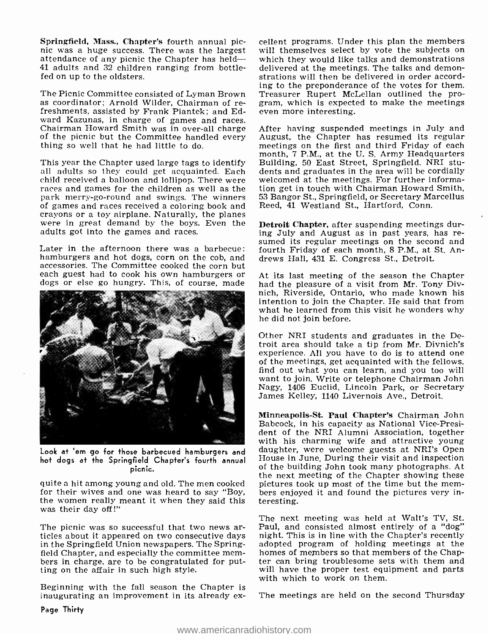Springfield, Mass., Chapter's fourth annual pic-<br>nic was a huge success. There was the largest attendance of any picnic the Chapter has held --<br>attendance of any picnic the Chapter has held -- which they would like talks a 41 adults and 32 children ranging from bottle-<br>fed on up to the oldsters.

The Picnic Committee consisted of Lyman Brown as coordinator; Arnold Wilder, Chairman of re-<br>freshments, assisted by Frank Piantek; and Ed-<br>ward Kazunas, in charge of games and races. Chairman Howard Smith was in over-all charge<br>of the picnic but the Committee handled every<br>thing so well that he had little to do.

This year the Chapter used large tags to identify Building, 50 East Street, Springfield. NRI stu-<br>all adults so they could get acquainted. Each dents and graduates in the area will be cordially<br>child received a balloon and races and games for the children as well as the park merry-go-round and swings. The winners of games and races received a coloring book and crayons or a toy airplane. Naturally, the planes were in great demand by the boys. Even the adults got into the games and races.

Later in the afternoon there was a barbecue: hamburgers and hot dogs, corn on the cob, and accessories. The Committee cooked the corn but each guest had to cook his own hamburgers or At its last meeting of the season the Chapter<br>dogs or else go hungry. This, of course, made had the pleasure of a visit from Mr. Tony Div-



Look at 'em go for those barbecued hamburgers and  $\,$   $\rm{d}$ hot dogs at the Springfield Chapter's fourth annual  $^{\rm H}$ picnic.

quite a hit among young and old. The men cooked for their wives and one was heard to say "Boy, the women really meant it when they said this was their day off!"

in the Springfield Union newspapers. The Springfield Chapter, and especially the committee members in charge, are to be congratulated for put-<br>ting on the affair in such high style.

Beginning with the fall season the Chapter is inaugurating an improvement in its already ex-

cellent programs. Under this plan the members will themselves select by vote the subjects on delivered at the meetings. The talks and demonstrations will then be delivered in order according to the preponderance of the votes for them. Treasurer Rupert McLellan outlined the program, which is expected to make the meetings even more interesting.

After having suspended meetings in July and August, the Chapter has resumed its regular meetings on the first and third Friday of each Building, 50 East Street, Springfield. NRI students and graduates in the area will be cordially tion get in touch with Chairman Howard Smith, 53 Bangor St., Springfield, or Secretary Marcellus Reed, 41 Westland St., Hartford, Conn.

Detroit Chapter, after suspending meetings during July and August as in past years, has resumed its regular meetings on the second and fourth Friday of each month, 8 P.M., at St. Andrews Hall, 431 E. Congress St., Detroit.

nich, Riverside, Ontario, who made known his intention to join the Chapter. He said that from what he learned from this visit he wonders why<br>he did not join before.

Other NRI students and graduates in the Detroit area should take a tip from Mr. Divnich's experience. All you have to do is to attend one of the meetings, get acquainted with the fellows, find out what you can learn, and you too will want to join. Write or telephone Chairman John Nagy, 1406 Euclid, Lincoln Park, or Secretary James Kelley, 1140 Livernois Ave., Detroit.

Minneapolis -St. Paul Chapter's Chairman John Babcock, in his capacity as National Vice-President of the NRI Alumni Association, together with his charming wife and attractive young daughter, were welcome guests at NRI's Open House in June. During their visit and inspection of the building John took many photographs. At the next meeting of the Chapter showing these pictures took up most of the time but the mem- bers enjoyed it and found the pictures very interesting.

The picnic was so successful that two news ar-<br>ticles about it appeared on two consecutive days<br>in the Springfield Union newspapers. The Spring-<br>adopted program of holding meetings at the<br>the Springfield Union newspapers. The next meeting was held at Walt's TV, St. night. This is in line with the Chapter's recently homes of members so that members of the Chapter can bring troublesome sets with them and will have the proper test equipment and parts with which to work on them.

The meetings are held on the second Thursday

Page Thirty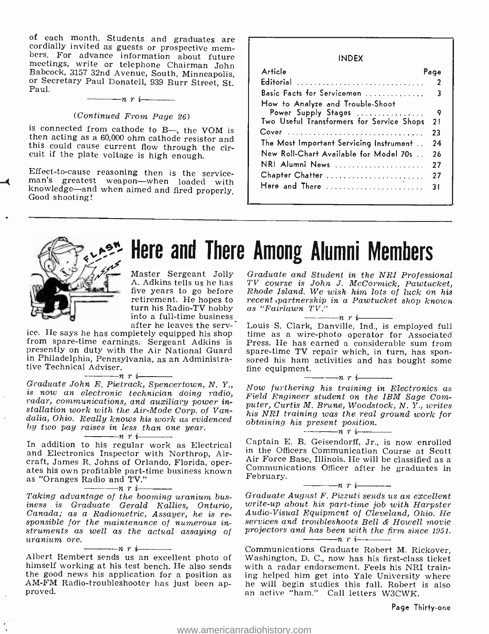of each month. Students and graduates are<br>cordially invited as guests or prospective mem-<br>bers. For advance information about future<br>meetings, write or telephone Chairman John<br>Babcock, 3157 32nd Avenue, South, Minneapolis

#### (Continued From Page 26)

is connected from cathode to B—, the VOM is then acting as a 60,000 ohm cathode resistor and this could cause current flow through the circuit if the plate voltage is high enough.

Effect-to-cause reasoning then is the service-<br>man's greatest weapon—when loaded with<br>knowledge—and when aimed and fired properly.<br>Good shooting!

#### INDEX

| Article                                   | Page |
|-------------------------------------------|------|
| Editorial                                 | 2    |
| Basic Facts for Servicemen                | 3    |
| How to Analyze and Trouble-Shoot          |      |
| Power Supply Stages                       | 9    |
| Two Useful Transformers for Service Shops | 21   |
| Cover                                     | 23   |
| The Most Important Servicing Instrument   | 24   |
| New Roll-Chart Available for Model 70s    | 26   |
| NRI Alumni News                           | 27   |
| Chapter Chatter                           | 27   |
| Here and There                            | 31   |
|                                           |      |



## Here and There Among Alumni Members

Master Sergeant Jolly A. Adkins tells us he has five years to go before retirement. He hopes to recent partnership<br>turn his Radio-TV hobby as "Fairlawn TV." into a full-time business.<br>after he leaves the serv-

ice. He says he has completely equipped his shop from spare-time earnings. Sergeant Adkins is presently on duty with the Air National Guard in Philadelphia, Pennsylvania, as an Administra-<br>tive Technical Adviser.<br>Graduate John, E. Pietrack Spencertown, N. V.

 $Graduate John E. Piettrack, Spencertown, N. Y.,$ is now an electronic technician doing radio, radar, communications, and auxiliary power installation work with the Air-Mode Corp. of Van-<br>dalia, Ohio. Really knows his work as evidenced by two pay raises in less than one year.

In addition to his regular work as Electrical and Electronics Inspector with Northrop, Aircraft, James R. Johns of Orlando, Florida, operates his own profitable part-time business known as "Oranges Radio and TV."  $\frac{m}{\sqrt{N}}$ 

Taking advantage of the booming uranium business is Graduate Gerald Kallies, Ontario, Canada; as a Radiometric, Assayer, he is re- sponsible for the maintenance of numerous instruments as well as the actual assaying of<br>uranium ore.  $u$ ranium ore.<br>  $\begin{array}{c}\n- n \rightarrow r \\
\hline\n\hline\n\text{Albert Rembert sends us an excellent photo of } \\
\end{array}$ 

himself working at his test bench. He also sends the good news his application for a position as AM-FM Radio-troubleshooter has just been ap-<br>proved.

Graduate and Student in the NRI Professional TV course is John J. McCormick, Pawtucket, Rhode Island. We wish him lots of luck on his recent partnership in a Pawtucket shop known<br>as "Fairlawn TV."<br> $\frac{1}{\sqrt{1-\frac{1}{n}}}$  r

Louis S. Clark, Danville, Ind., is employed full time as a wire -photo operator for Associated Press. He has earned a considerable sum from spare-time TV repair which, in turn, has spon-<br>sored his ham activities and has bought some<br>fine equipment.  $\frac{n}{\cdot}$   $\frac{n}{\cdot}$   $\frac{n}{\cdot}$   $\frac{n}{\cdot}$ 

Now furthering his training in Electronics as Field Engineer student on the IBM Sage Computer, Curtis M. Brune, Woodstock, N. Y., writes his NRI training was the real ground work for obtaining his present position.<br> $\overline{n}$   $\overline{n}$   $\overline{n}$   $\overline{n}$ 

Captain E. B. Geisendorff, Jr., is now enrolled in the Officers Communication Course at Scott Air Force Base, Illinois. He will be classified as a Communications Officer after he graduates in

#### $-$ nri

Graduate August F. Pizzuti sends us an excellent write -up about his part -time job with Harpster Audio- Visual Equipment of Cleveland, Ohio. He services and troubleshoots Bell & Howell movie projectors and has been with the firm since 1951.<br>  $\begin{array}{r}\n-m \rightarrow n \\
\hline\n\end{array}$   $\begin{array}{r}\n\text{Gamma} \\
\end{array}$  are i<br>
Communications Graduate Robert M. Rickover,

Washington, D. C., now has his first-class ticket with a radar endorsement. Feels his NRI training helped him get into Yale University where he will begin studies this fall. Robert is also an active "ham." Call letters W3CWK.